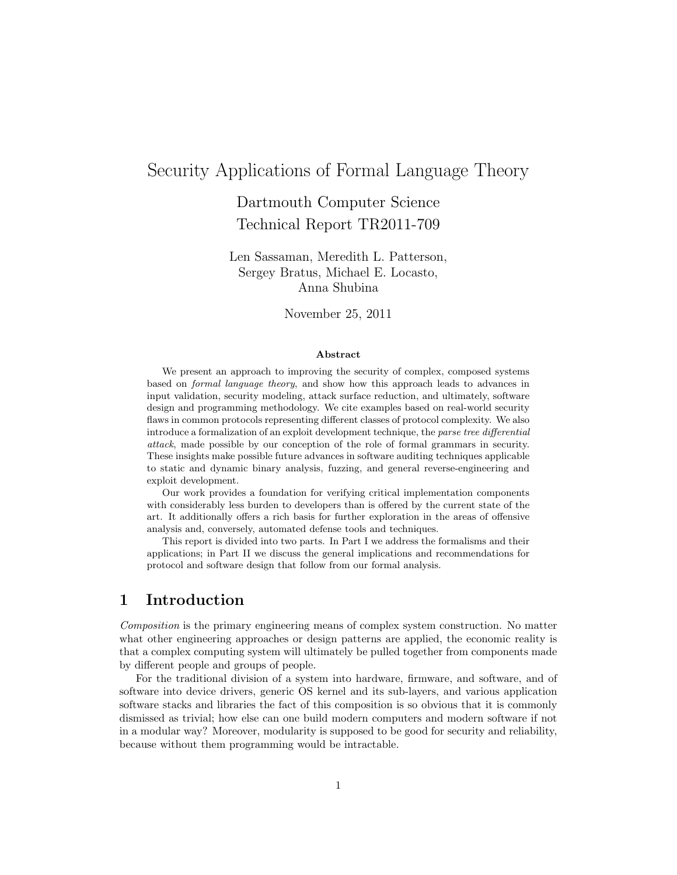# Security Applications of Formal Language Theory

# Dartmouth Computer Science Technical Report TR2011-709

### Len Sassaman, Meredith L. Patterson, Sergey Bratus, Michael E. Locasto, Anna Shubina

November 25, 2011

#### Abstract

We present an approach to improving the security of complex, composed systems based on formal language theory, and show how this approach leads to advances in input validation, security modeling, attack surface reduction, and ultimately, software design and programming methodology. We cite examples based on real-world security flaws in common protocols representing different classes of protocol complexity. We also introduce a formalization of an exploit development technique, the parse tree differential attack, made possible by our conception of the role of formal grammars in security. These insights make possible future advances in software auditing techniques applicable to static and dynamic binary analysis, fuzzing, and general reverse-engineering and exploit development.

Our work provides a foundation for verifying critical implementation components with considerably less burden to developers than is offered by the current state of the art. It additionally offers a rich basis for further exploration in the areas of offensive analysis and, conversely, automated defense tools and techniques.

This report is divided into two parts. In Part I we address the formalisms and their applications; in Part II we discuss the general implications and recommendations for protocol and software design that follow from our formal analysis.

## 1 Introduction

Composition is the primary engineering means of complex system construction. No matter what other engineering approaches or design patterns are applied, the economic reality is that a complex computing system will ultimately be pulled together from components made by different people and groups of people.

For the traditional division of a system into hardware, firmware, and software, and of software into device drivers, generic OS kernel and its sub-layers, and various application software stacks and libraries the fact of this composition is so obvious that it is commonly dismissed as trivial; how else can one build modern computers and modern software if not in a modular way? Moreover, modularity is supposed to be good for security and reliability, because without them programming would be intractable.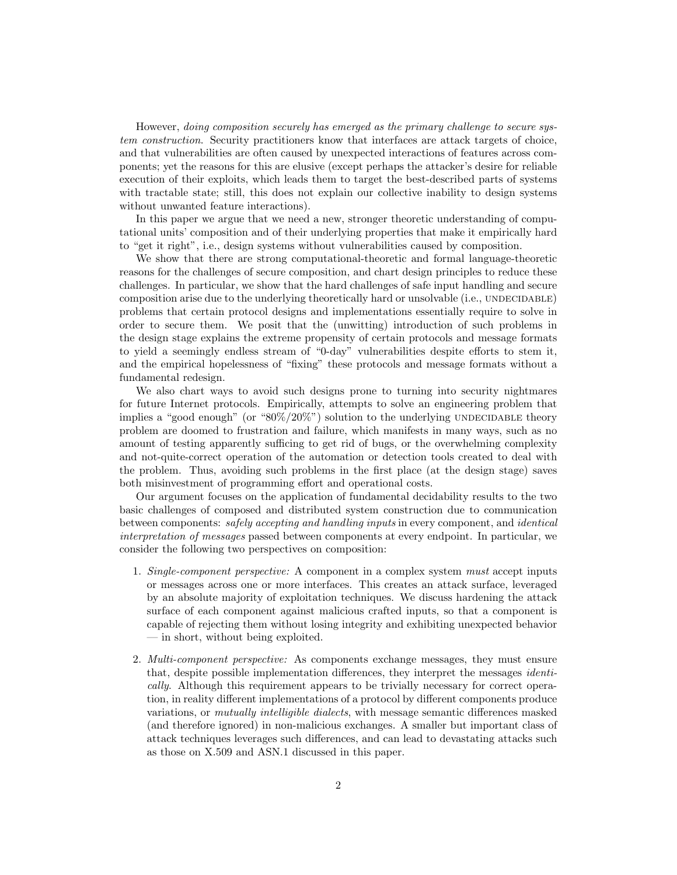However, doing composition securely has emerged as the primary challenge to secure system construction. Security practitioners know that interfaces are attack targets of choice, and that vulnerabilities are often caused by unexpected interactions of features across components; yet the reasons for this are elusive (except perhaps the attacker's desire for reliable execution of their exploits, which leads them to target the best-described parts of systems with tractable state; still, this does not explain our collective inability to design systems without unwanted feature interactions).

In this paper we argue that we need a new, stronger theoretic understanding of computational units' composition and of their underlying properties that make it empirically hard to "get it right", i.e., design systems without vulnerabilities caused by composition.

We show that there are strong computational-theoretic and formal language-theoretic reasons for the challenges of secure composition, and chart design principles to reduce these challenges. In particular, we show that the hard challenges of safe input handling and secure composition arise due to the underlying theoretically hard or unsolvable (i.e., UNDECIDABLE) problems that certain protocol designs and implementations essentially require to solve in order to secure them. We posit that the (unwitting) introduction of such problems in the design stage explains the extreme propensity of certain protocols and message formats to yield a seemingly endless stream of "0-day" vulnerabilities despite efforts to stem it, and the empirical hopelessness of "fixing" these protocols and message formats without a fundamental redesign.

We also chart ways to avoid such designs prone to turning into security nightmares for future Internet protocols. Empirically, attempts to solve an engineering problem that implies a "good enough" (or " $80\%/20\%$ ") solution to the underlying UNDECIDABLE theory problem are doomed to frustration and failure, which manifests in many ways, such as no amount of testing apparently sufficing to get rid of bugs, or the overwhelming complexity and not-quite-correct operation of the automation or detection tools created to deal with the problem. Thus, avoiding such problems in the first place (at the design stage) saves both misinvestment of programming effort and operational costs.

Our argument focuses on the application of fundamental decidability results to the two basic challenges of composed and distributed system construction due to communication between components: safely accepting and handling inputs in every component, and identical interpretation of messages passed between components at every endpoint. In particular, we consider the following two perspectives on composition:

- 1. Single-component perspective: A component in a complex system must accept inputs or messages across one or more interfaces. This creates an attack surface, leveraged by an absolute majority of exploitation techniques. We discuss hardening the attack surface of each component against malicious crafted inputs, so that a component is capable of rejecting them without losing integrity and exhibiting unexpected behavior — in short, without being exploited.
- 2. Multi-component perspective: As components exchange messages, they must ensure that, despite possible implementation differences, they interpret the messages identically. Although this requirement appears to be trivially necessary for correct operation, in reality different implementations of a protocol by different components produce variations, or mutually intelligible dialects, with message semantic differences masked (and therefore ignored) in non-malicious exchanges. A smaller but important class of attack techniques leverages such differences, and can lead to devastating attacks such as those on X.509 and ASN.1 discussed in this paper.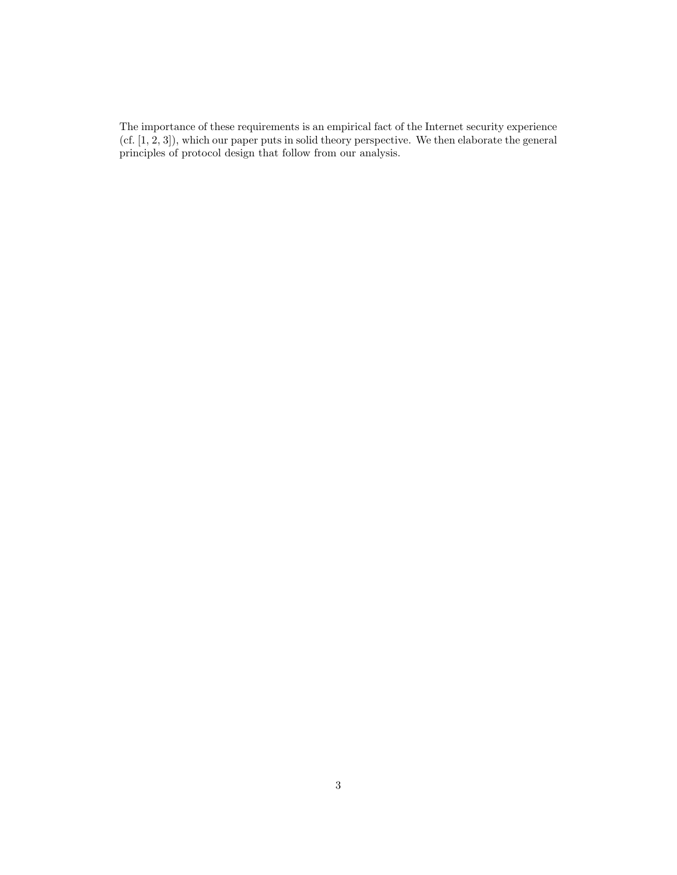The importance of these requirements is an empirical fact of the Internet security experience (cf. [1, 2, 3]), which our paper puts in solid theory perspective. We then elaborate the general principles of protocol design that follow from our analysis.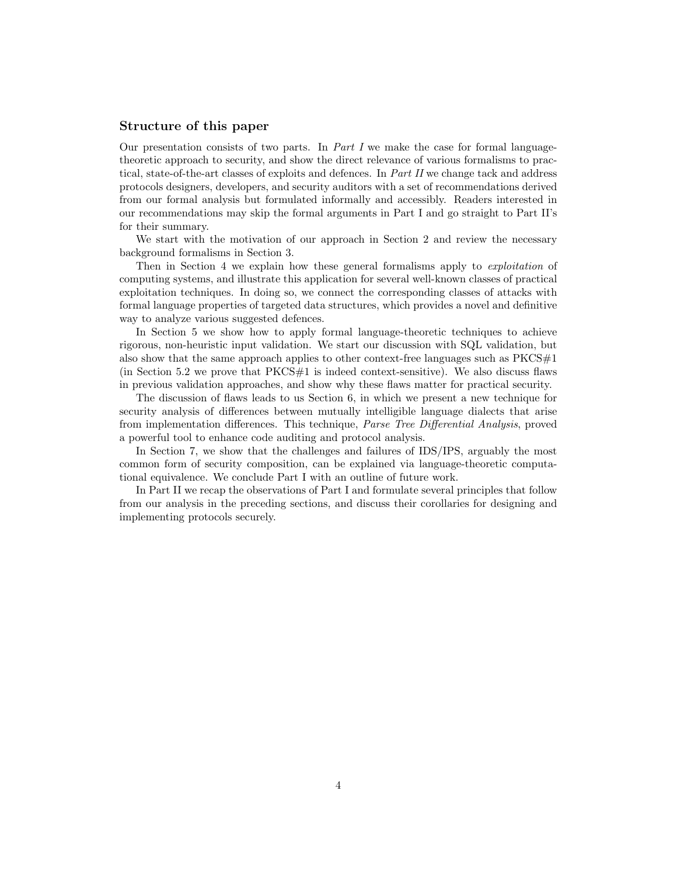#### Structure of this paper

Our presentation consists of two parts. In *Part I* we make the case for formal languagetheoretic approach to security, and show the direct relevance of various formalisms to practical, state-of-the-art classes of exploits and defences. In Part II we change tack and address protocols designers, developers, and security auditors with a set of recommendations derived from our formal analysis but formulated informally and accessibly. Readers interested in our recommendations may skip the formal arguments in Part I and go straight to Part II's for their summary.

We start with the motivation of our approach in Section 2 and review the necessary background formalisms in Section 3.

Then in Section 4 we explain how these general formalisms apply to exploitation of computing systems, and illustrate this application for several well-known classes of practical exploitation techniques. In doing so, we connect the corresponding classes of attacks with formal language properties of targeted data structures, which provides a novel and definitive way to analyze various suggested defences.

In Section 5 we show how to apply formal language-theoretic techniques to achieve rigorous, non-heuristic input validation. We start our discussion with SQL validation, but also show that the same approach applies to other context-free languages such as  $PKCS#1$ (in Section 5.2 we prove that  $PKCS#1$  is indeed context-sensitive). We also discuss flaws in previous validation approaches, and show why these flaws matter for practical security.

The discussion of flaws leads to us Section 6, in which we present a new technique for security analysis of differences between mutually intelligible language dialects that arise from implementation differences. This technique, Parse Tree Differential Analysis, proved a powerful tool to enhance code auditing and protocol analysis.

In Section 7, we show that the challenges and failures of IDS/IPS, arguably the most common form of security composition, can be explained via language-theoretic computational equivalence. We conclude Part I with an outline of future work.

In Part II we recap the observations of Part I and formulate several principles that follow from our analysis in the preceding sections, and discuss their corollaries for designing and implementing protocols securely.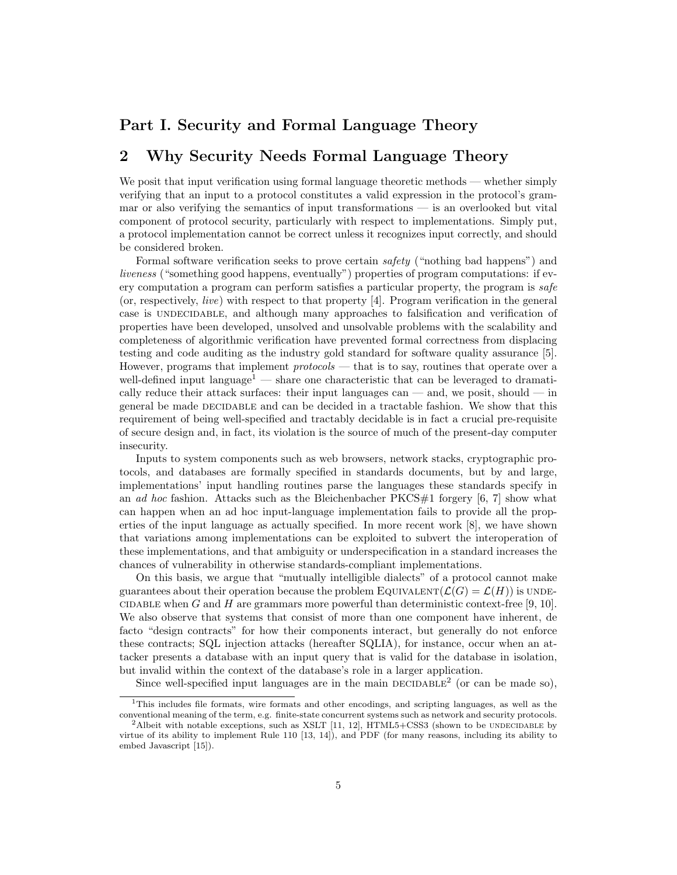## Part I. Security and Formal Language Theory

### 2 Why Security Needs Formal Language Theory

We posit that input verification using formal language theoretic methods — whether simply verifying that an input to a protocol constitutes a valid expression in the protocol's grammar or also verifying the semantics of input transformations — is an overlooked but vital component of protocol security, particularly with respect to implementations. Simply put, a protocol implementation cannot be correct unless it recognizes input correctly, and should be considered broken.

Formal software verification seeks to prove certain safety ("nothing bad happens") and liveness ("something good happens, eventually") properties of program computations: if every computation a program can perform satisfies a particular property, the program is safe (or, respectively, live) with respect to that property [4]. Program verification in the general case is UNDECIDABLE, and although many approaches to falsification and verification of properties have been developed, unsolved and unsolvable problems with the scalability and completeness of algorithmic verification have prevented formal correctness from displacing testing and code auditing as the industry gold standard for software quality assurance [5]. However, programs that implement *protocols* — that is to say, routines that operate over a well-defined input language<sup>1</sup> — share one characteristic that can be leveraged to dramatically reduce their attack surfaces: their input languages can — and, we posit, should — in general be made DECIDABLE and can be decided in a tractable fashion. We show that this requirement of being well-specified and tractably decidable is in fact a crucial pre-requisite of secure design and, in fact, its violation is the source of much of the present-day computer insecurity.

Inputs to system components such as web browsers, network stacks, cryptographic protocols, and databases are formally specified in standards documents, but by and large, implementations' input handling routines parse the languages these standards specify in an ad hoc fashion. Attacks such as the Bleichenbacher  $PKCS#1$  forgery [6, 7] show what can happen when an ad hoc input-language implementation fails to provide all the properties of the input language as actually specified. In more recent work [8], we have shown that variations among implementations can be exploited to subvert the interoperation of these implementations, and that ambiguity or underspecification in a standard increases the chances of vulnerability in otherwise standards-compliant implementations.

On this basis, we argue that "mutually intelligible dialects" of a protocol cannot make guarantees about their operation because the problem EQUIVALENT( $\mathcal{L}(G) = \mathcal{L}(H)$ ) is UNDE-CIDABLE when G and H are grammars more powerful than deterministic context-free [9, 10]. We also observe that systems that consist of more than one component have inherent, de facto "design contracts" for how their components interact, but generally do not enforce these contracts; SQL injection attacks (hereafter SQLIA), for instance, occur when an attacker presents a database with an input query that is valid for the database in isolation, but invalid within the context of the database's role in a larger application.

Since well-specified input languages are in the main  $DECIDABLE<sup>2</sup>$  (or can be made so),

<sup>1</sup>This includes file formats, wire formats and other encodings, and scripting languages, as well as the conventional meaning of the term, e.g. finite-state concurrent systems such as network and security protocols.

<sup>&</sup>lt;sup>2</sup>Albeit with notable exceptions, such as XSLT [11, 12], HTML5+CSS3 (shown to be UNDECIDABLE by virtue of its ability to implement Rule 110 [13, 14]), and PDF (for many reasons, including its ability to embed Javascript [15]).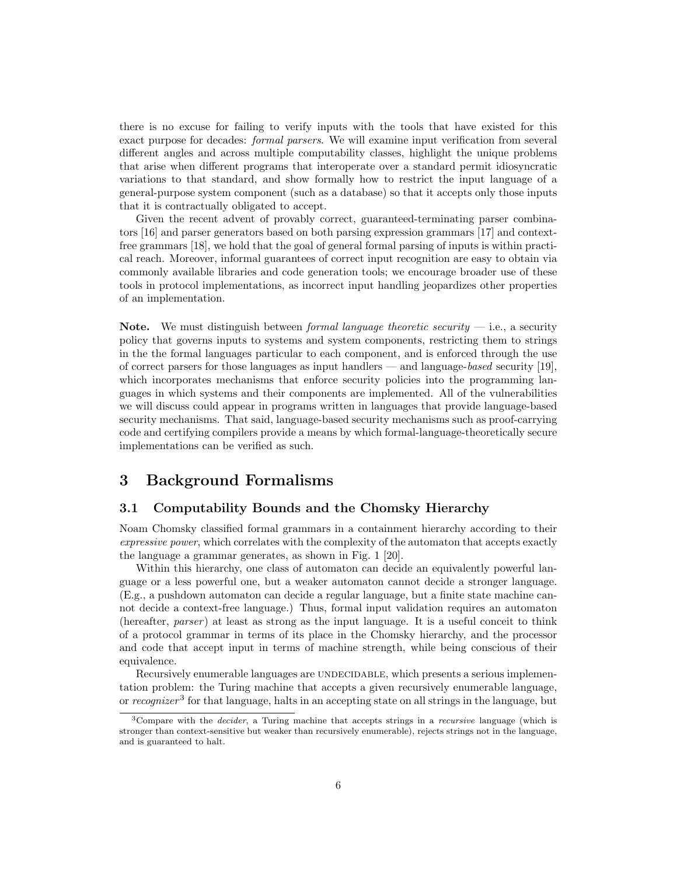there is no excuse for failing to verify inputs with the tools that have existed for this exact purpose for decades: formal parsers. We will examine input verification from several different angles and across multiple computability classes, highlight the unique problems that arise when different programs that interoperate over a standard permit idiosyncratic variations to that standard, and show formally how to restrict the input language of a general-purpose system component (such as a database) so that it accepts only those inputs that it is contractually obligated to accept.

Given the recent advent of provably correct, guaranteed-terminating parser combinators [16] and parser generators based on both parsing expression grammars [17] and contextfree grammars [18], we hold that the goal of general formal parsing of inputs is within practical reach. Moreover, informal guarantees of correct input recognition are easy to obtain via commonly available libraries and code generation tools; we encourage broader use of these tools in protocol implementations, as incorrect input handling jeopardizes other properties of an implementation.

Note. We must distinguish between *formal language theoretic security*  $-$  i.e., a security policy that governs inputs to systems and system components, restricting them to strings in the the formal languages particular to each component, and is enforced through the use of correct parsers for those languages as input handlers — and language-based security  $[19]$ , which incorporates mechanisms that enforce security policies into the programming languages in which systems and their components are implemented. All of the vulnerabilities we will discuss could appear in programs written in languages that provide language-based security mechanisms. That said, language-based security mechanisms such as proof-carrying code and certifying compilers provide a means by which formal-language-theoretically secure implementations can be verified as such.

## 3 Background Formalisms

#### 3.1 Computability Bounds and the Chomsky Hierarchy

Noam Chomsky classified formal grammars in a containment hierarchy according to their expressive power, which correlates with the complexity of the automaton that accepts exactly the language a grammar generates, as shown in Fig. 1 [20].

Within this hierarchy, one class of automaton can decide an equivalently powerful language or a less powerful one, but a weaker automaton cannot decide a stronger language. (E.g., a pushdown automaton can decide a regular language, but a finite state machine cannot decide a context-free language.) Thus, formal input validation requires an automaton (hereafter,  $parser$ ) at least as strong as the input language. It is a useful conceit to think of a protocol grammar in terms of its place in the Chomsky hierarchy, and the processor and code that accept input in terms of machine strength, while being conscious of their equivalence.

Recursively enumerable languages are UNDECIDABLE, which presents a serious implementation problem: the Turing machine that accepts a given recursively enumerable language, or *recognizer*<sup>3</sup> for that language, halts in an accepting state on all strings in the language, but

<sup>&</sup>lt;sup>3</sup>Compare with the *decider*, a Turing machine that accepts strings in a *recursive* language (which is stronger than context-sensitive but weaker than recursively enumerable), rejects strings not in the language, and is guaranteed to halt.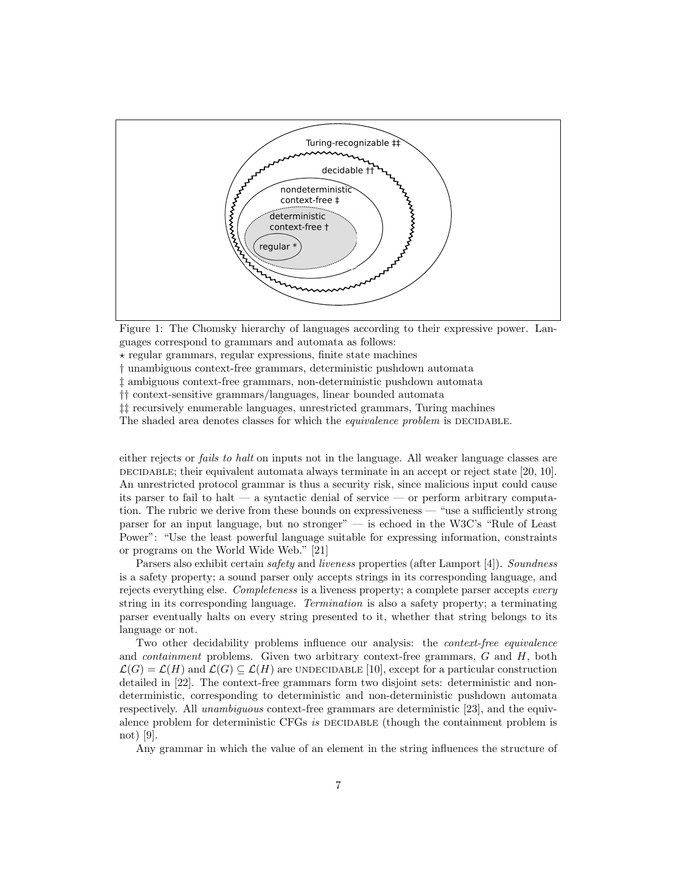

Figure 1: The Chomsky hierarchy of languages according to their expressive power. Languages correspond to grammars and automata as follows:

 $\star$  regular grammars, regular expressions, finite state machines

† unambiguous context-free grammars, deterministic pushdown automata

‡ ambiguous context-free grammars, non-deterministic pushdown automata

†† context-sensitive grammars/languages, linear bounded automata

‡‡ recursively enumerable languages, unrestricted grammars, Turing machines

The shaded area denotes classes for which the *equivalence problem* is DECIDABLE.

either rejects or *fails to halt* on inputs not in the language. All weaker language classes are DECIDABLE; their equivalent automata always terminate in an accept or reject state  $[20, 10]$ . An unrestricted protocol grammar is thus a security risk, since malicious input could cause its parser to fail to halt — a syntactic denial of service — or perform arbitrary computation. The rubric we derive from these bounds on expressiveness — "use a sufficiently strong parser for an input language, but no stronger" — is echoed in the W3C's "Rule of Least Power": "Use the least powerful language suitable for expressing information, constraints or programs on the World Wide Web." [21]

Parsers also exhibit certain safety and liveness properties (after Lamport [4]). Soundness is a safety property; a sound parser only accepts strings in its corresponding language, and rejects everything else. Completeness is a liveness property; a complete parser accepts every string in its corresponding language. Termination is also a safety property; a terminating parser eventually halts on every string presented to it, whether that string belongs to its language or not.

Two other decidability problems influence our analysis: the *context-free equivalence* and containment problems. Given two arbitrary context-free grammars, G and H, both  $\mathcal{L}(G) = \mathcal{L}(H)$  and  $\mathcal{L}(G) \subseteq \mathcal{L}(H)$  are UNDECIDABLE [10], except for a particular construction detailed in [22]. The context-free grammars form two disjoint sets: deterministic and nondeterministic, corresponding to deterministic and non-deterministic pushdown automata respectively. All unambiguous context-free grammars are deterministic [23], and the equivalence problem for deterministic CFGs is DECIDABLE (though the containment problem is not) [9].

Any grammar in which the value of an element in the string influences the structure of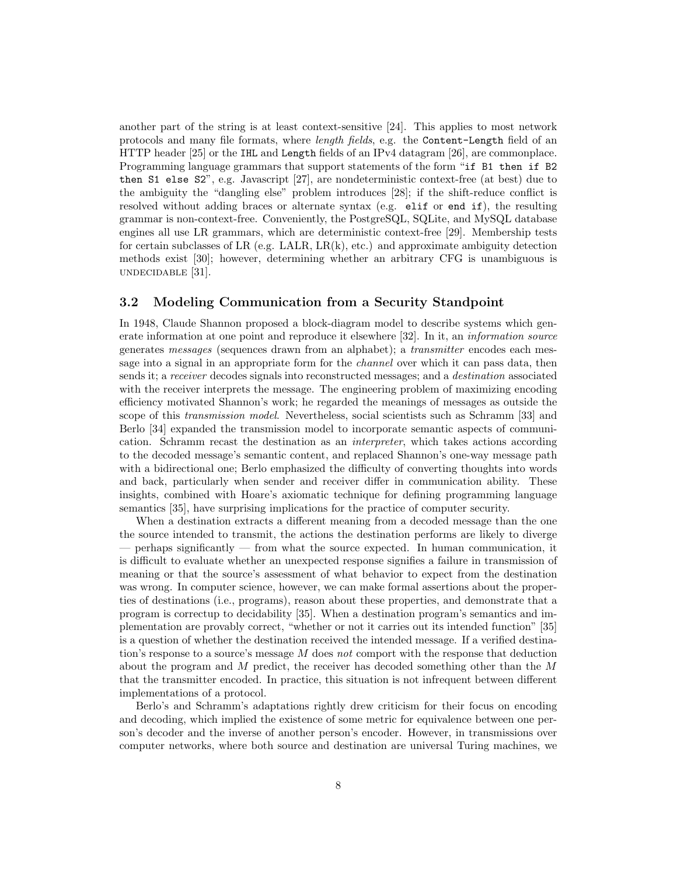another part of the string is at least context-sensitive [24]. This applies to most network protocols and many file formats, where *length fields*, e.g. the Content-Length field of an HTTP header [25] or the IHL and Length fields of an IPv4 datagram [26], are commonplace. Programming language grammars that support statements of the form "if B1 then if B2 then S1 else S2", e.g. Javascript [27], are nondeterministic context-free (at best) due to the ambiguity the "dangling else" problem introduces [28]; if the shift-reduce conflict is resolved without adding braces or alternate syntax (e.g. elif or end if), the resulting grammar is non-context-free. Conveniently, the PostgreSQL, SQLite, and MySQL database engines all use LR grammars, which are deterministic context-free [29]. Membership tests for certain subclasses of LR (e.g. LALR,  $LR(k)$ , etc.) and approximate ambiguity detection methods exist [30]; however, determining whether an arbitrary CFG is unambiguous is undecidable [31].

### 3.2 Modeling Communication from a Security Standpoint

In 1948, Claude Shannon proposed a block-diagram model to describe systems which generate information at one point and reproduce it elsewhere [32]. In it, an information source generates messages (sequences drawn from an alphabet); a transmitter encodes each message into a signal in an appropriate form for the *channel* over which it can pass data, then sends it; a receiver decodes signals into reconstructed messages; and a *destination* associated with the receiver interprets the message. The engineering problem of maximizing encoding efficiency motivated Shannon's work; he regarded the meanings of messages as outside the scope of this *transmission model*. Nevertheless, social scientists such as Schramm [33] and Berlo [34] expanded the transmission model to incorporate semantic aspects of communication. Schramm recast the destination as an interpreter, which takes actions according to the decoded message's semantic content, and replaced Shannon's one-way message path with a bidirectional one; Berlo emphasized the difficulty of converting thoughts into words and back, particularly when sender and receiver differ in communication ability. These insights, combined with Hoare's axiomatic technique for defining programming language semantics [35], have surprising implications for the practice of computer security.

When a destination extracts a different meaning from a decoded message than the one the source intended to transmit, the actions the destination performs are likely to diverge — perhaps significantly — from what the source expected. In human communication, it is difficult to evaluate whether an unexpected response signifies a failure in transmission of meaning or that the source's assessment of what behavior to expect from the destination was wrong. In computer science, however, we can make formal assertions about the properties of destinations (i.e., programs), reason about these properties, and demonstrate that a program is correctup to decidability [35]. When a destination program's semantics and implementation are provably correct, "whether or not it carries out its intended function" [35] is a question of whether the destination received the intended message. If a verified destination's response to a source's message  $M$  does not comport with the response that deduction about the program and  $M$  predict, the receiver has decoded something other than the  $M$ that the transmitter encoded. In practice, this situation is not infrequent between different implementations of a protocol.

Berlo's and Schramm's adaptations rightly drew criticism for their focus on encoding and decoding, which implied the existence of some metric for equivalence between one person's decoder and the inverse of another person's encoder. However, in transmissions over computer networks, where both source and destination are universal Turing machines, we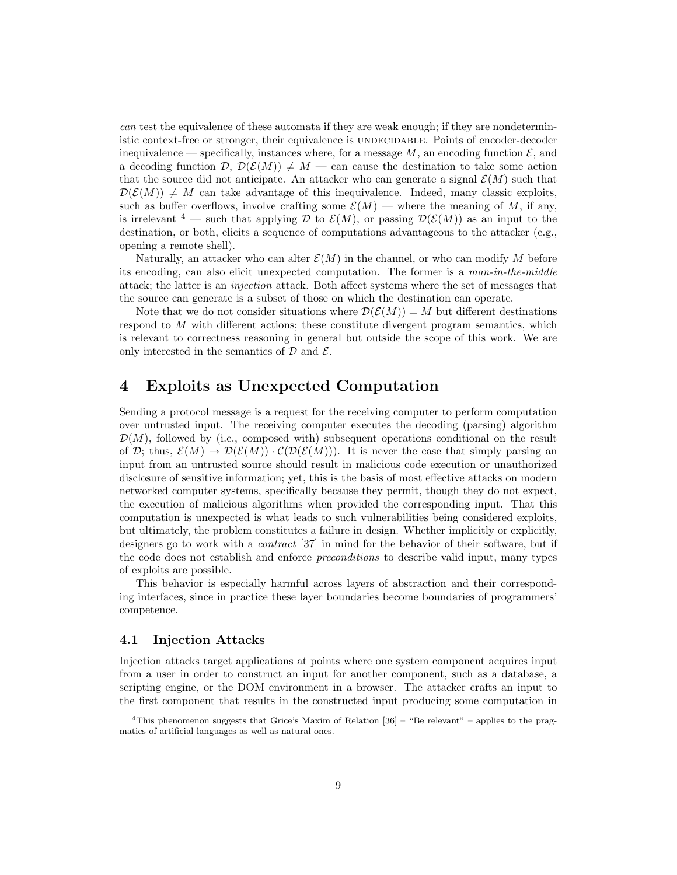can test the equivalence of these automata if they are weak enough; if they are nondeterministic context-free or stronger, their equivalence is UNDECIDABLE. Points of encoder-decoder inequivalence — specifically, instances where, for a message M, an encoding function  $\mathcal{E}$ , and a decoding function  $\mathcal{D}, \mathcal{D}(\mathcal{E}(M)) \neq M$  — can cause the destination to take some action that the source did not anticipate. An attacker who can generate a signal  $\mathcal{E}(M)$  such that  $\mathcal{D}(\mathcal{E}(M)) \neq M$  can take advantage of this inequivalence. Indeed, many classic exploits, such as buffer overflows, involve crafting some  $\mathcal{E}(M)$  — where the meaning of M, if any, is irrelevant <sup>4</sup> — such that applying D to  $\mathcal{E}(M)$ , or passing  $\mathcal{D}(\mathcal{E}(M))$  as an input to the destination, or both, elicits a sequence of computations advantageous to the attacker (e.g., opening a remote shell).

Naturally, an attacker who can alter  $\mathcal{E}(M)$  in the channel, or who can modify M before its encoding, can also elicit unexpected computation. The former is a man-in-the-middle attack; the latter is an injection attack. Both affect systems where the set of messages that the source can generate is a subset of those on which the destination can operate.

Note that we do not consider situations where  $\mathcal{D}(\mathcal{E}(M)) = M$  but different destinations respond to  $M$  with different actions; these constitute divergent program semantics, which is relevant to correctness reasoning in general but outside the scope of this work. We are only interested in the semantics of  $D$  and  $\mathcal{E}$ .

## 4 Exploits as Unexpected Computation

Sending a protocol message is a request for the receiving computer to perform computation over untrusted input. The receiving computer executes the decoding (parsing) algorithm  $\mathcal{D}(M)$ , followed by (i.e., composed with) subsequent operations conditional on the result of D; thus,  $\mathcal{E}(M) \to \mathcal{D}(\mathcal{E}(M)) \cdot \mathcal{C}(\mathcal{D}(\mathcal{E}(M)))$ . It is never the case that simply parsing an input from an untrusted source should result in malicious code execution or unauthorized disclosure of sensitive information; yet, this is the basis of most effective attacks on modern networked computer systems, specifically because they permit, though they do not expect, the execution of malicious algorithms when provided the corresponding input. That this computation is unexpected is what leads to such vulnerabilities being considered exploits, but ultimately, the problem constitutes a failure in design. Whether implicitly or explicitly, designers go to work with a *contract* [37] in mind for the behavior of their software, but if the code does not establish and enforce *preconditions* to describe valid input, many types of exploits are possible.

This behavior is especially harmful across layers of abstraction and their corresponding interfaces, since in practice these layer boundaries become boundaries of programmers' competence.

### 4.1 Injection Attacks

Injection attacks target applications at points where one system component acquires input from a user in order to construct an input for another component, such as a database, a scripting engine, or the DOM environment in a browser. The attacker crafts an input to the first component that results in the constructed input producing some computation in

<sup>&</sup>lt;sup>4</sup>This phenomenon suggests that Grice's Maxim of Relation  $[36]$  – "Be relevant" – applies to the pragmatics of artificial languages as well as natural ones.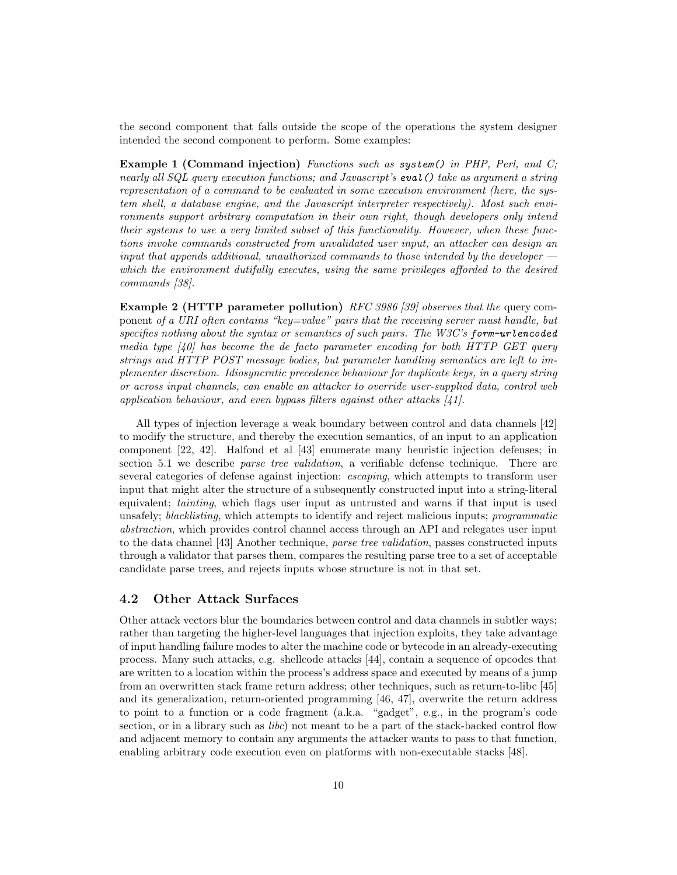the second component that falls outside the scope of the operations the system designer intended the second component to perform. Some examples:

**Example 1 (Command injection)** Functions such as  $system()$  in PHP, Perl, and  $C_i$ ; nearly all SQL query execution functions; and Javascript's eval () take as argument a string representation of a command to be evaluated in some execution environment (here, the system shell, a database engine, and the Javascript interpreter respectively). Most such environments support arbitrary computation in their own right, though developers only intend their systems to use a very limited subset of this functionality. However, when these functions invoke commands constructed from unvalidated user input, an attacker can design an input that appends additional, unauthorized commands to those intended by the developer which the environment dutifully executes, using the same privileges afforded to the desired commands [38].

Example 2 (HTTP parameter pollution) RFC 3986 [39] observes that the query component of a URI often contains "key=value" pairs that the receiving server must handle, but specifies nothing about the syntax or semantics of such pairs. The W3C's form-urlencoded media type  $[40]$  has become the de facto parameter encoding for both HTTP GET query strings and HTTP POST message bodies, but parameter handling semantics are left to implementer discretion. Idiosyncratic precedence behaviour for duplicate keys, in a query string or across input channels, can enable an attacker to override user-supplied data, control web application behaviour, and even bypass filters against other attacks  $[41]$ .

All types of injection leverage a weak boundary between control and data channels [42] to modify the structure, and thereby the execution semantics, of an input to an application component [22, 42]. Halfond et al [43] enumerate many heuristic injection defenses; in section 5.1 we describe *parse tree validation*, a verifiable defense technique. There are several categories of defense against injection: *escaping*, which attempts to transform user input that might alter the structure of a subsequently constructed input into a string-literal equivalent; tainting, which flags user input as untrusted and warns if that input is used unsafely; blacklisting, which attempts to identify and reject malicious inputs; *programmatic* abstraction, which provides control channel access through an API and relegates user input to the data channel [43] Another technique, parse tree validation, passes constructed inputs through a validator that parses them, compares the resulting parse tree to a set of acceptable candidate parse trees, and rejects inputs whose structure is not in that set.

### 4.2 Other Attack Surfaces

Other attack vectors blur the boundaries between control and data channels in subtler ways; rather than targeting the higher-level languages that injection exploits, they take advantage of input handling failure modes to alter the machine code or bytecode in an already-executing process. Many such attacks, e.g. shellcode attacks [44], contain a sequence of opcodes that are written to a location within the process's address space and executed by means of a jump from an overwritten stack frame return address; other techniques, such as return-to-libc [45] and its generalization, return-oriented programming [46, 47], overwrite the return address to point to a function or a code fragment (a.k.a. "gadget", e.g., in the program's code section, or in a library such as *libc*) not meant to be a part of the stack-backed control flow and adjacent memory to contain any arguments the attacker wants to pass to that function, enabling arbitrary code execution even on platforms with non-executable stacks [48].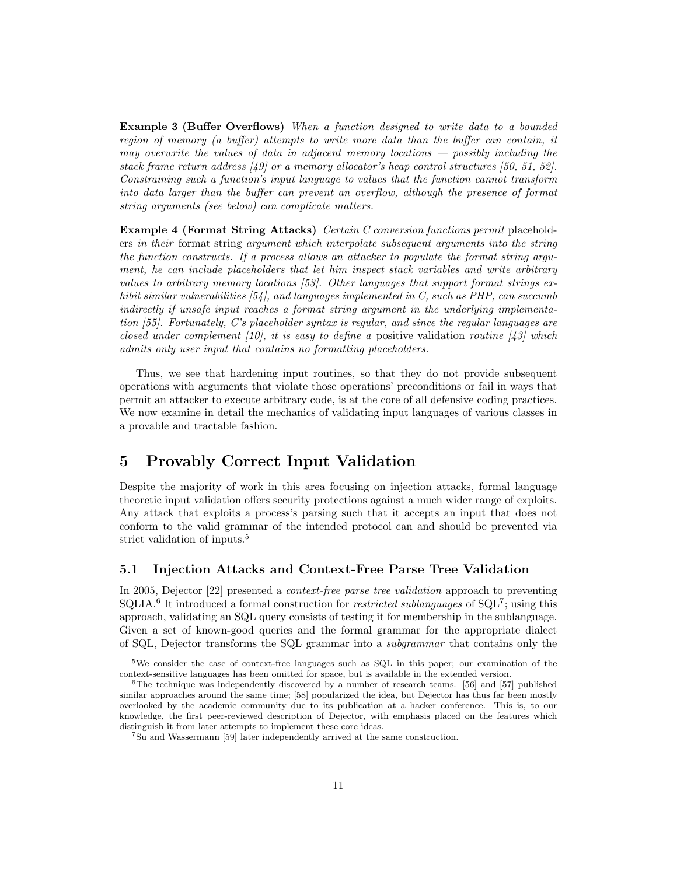Example 3 (Buffer Overflows) When a function designed to write data to a bounded region of memory (a buffer) attempts to write more data than the buffer can contain, it may overwrite the values of data in adjacent memory locations — possibly including the stack frame return address  $(49)$  or a memory allocator's heap control structures  $(50, 51, 52)$ . Constraining such a function's input language to values that the function cannot transform into data larger than the buffer can prevent an overflow, although the presence of format string arguments (see below) can complicate matters.

Example 4 (Format String Attacks) Certain C conversion functions permit placeholders in their format string argument which interpolate subsequent arguments into the string the function constructs. If a process allows an attacker to populate the format string argument, he can include placeholders that let him inspect stack variables and write arbitrary values to arbitrary memory locations [53]. Other languages that support format strings exhibit similar vulnerabilities [54], and languages implemented in C, such as PHP, can succumb indirectly if unsafe input reaches a format string argument in the underlying implementation [55]. Fortunately, C's placeholder syntax is regular, and since the regular languages are closed under complement [10], it is easy to define a positive validation routine [43] which admits only user input that contains no formatting placeholders.

Thus, we see that hardening input routines, so that they do not provide subsequent operations with arguments that violate those operations' preconditions or fail in ways that permit an attacker to execute arbitrary code, is at the core of all defensive coding practices. We now examine in detail the mechanics of validating input languages of various classes in a provable and tractable fashion.

## 5 Provably Correct Input Validation

Despite the majority of work in this area focusing on injection attacks, formal language theoretic input validation offers security protections against a much wider range of exploits. Any attack that exploits a process's parsing such that it accepts an input that does not conform to the valid grammar of the intended protocol can and should be prevented via strict validation of inputs.<sup>5</sup>

### 5.1 Injection Attacks and Context-Free Parse Tree Validation

In 2005, Dejector [22] presented a context-free parse tree validation approach to preventing SQLIA.<sup>6</sup> It introduced a formal construction for *restricted sublanguages* of  $SQL^7$ ; using this approach, validating an SQL query consists of testing it for membership in the sublanguage. Given a set of known-good queries and the formal grammar for the appropriate dialect of SQL, Dejector transforms the SQL grammar into a subgrammar that contains only the

<sup>5</sup>We consider the case of context-free languages such as SQL in this paper; our examination of the context-sensitive languages has been omitted for space, but is available in the extended version.

<sup>6</sup>The technique was independently discovered by a number of research teams. [56] and [57] published similar approaches around the same time; [58] popularized the idea, but Dejector has thus far been mostly overlooked by the academic community due to its publication at a hacker conference. This is, to our knowledge, the first peer-reviewed description of Dejector, with emphasis placed on the features which distinguish it from later attempts to implement these core ideas.

<sup>7</sup>Su and Wassermann [59] later independently arrived at the same construction.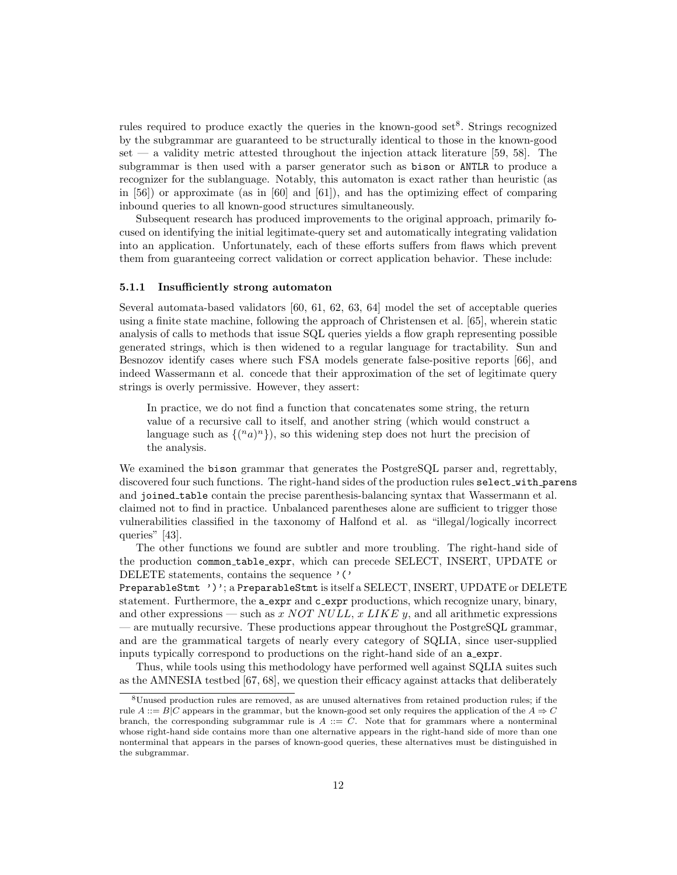rules required to produce exactly the queries in the known-good set<sup>8</sup>. Strings recognized by the subgrammar are guaranteed to be structurally identical to those in the known-good  $set$  — a validity metric attested throughout the injection attack literature [59, 58]. The subgrammar is then used with a parser generator such as bison or ANTLR to produce a recognizer for the sublanguage. Notably, this automaton is exact rather than heuristic (as in  $[56]$ ) or approximate (as in  $[60]$  and  $[61]$ ), and has the optimizing effect of comparing inbound queries to all known-good structures simultaneously.

Subsequent research has produced improvements to the original approach, primarily focused on identifying the initial legitimate-query set and automatically integrating validation into an application. Unfortunately, each of these efforts suffers from flaws which prevent them from guaranteeing correct validation or correct application behavior. These include:

#### 5.1.1 Insufficiently strong automaton

Several automata-based validators [60, 61, 62, 63, 64] model the set of acceptable queries using a finite state machine, following the approach of Christensen et al. [65], wherein static analysis of calls to methods that issue SQL queries yields a flow graph representing possible generated strings, which is then widened to a regular language for tractability. Sun and Besnozov identify cases where such FSA models generate false-positive reports [66], and indeed Wassermann et al. concede that their approximation of the set of legitimate query strings is overly permissive. However, they assert:

In practice, we do not find a function that concatenates some string, the return value of a recursive call to itself, and another string (which would construct a language such as  $\{(n_a)^n\}$ , so this widening step does not hurt the precision of the analysis.

We examined the bison grammar that generates the PostgreSQL parser and, regrettably, discovered four such functions. The right-hand sides of the production rules select\_with\_parens and joined table contain the precise parenthesis-balancing syntax that Wassermann et al. claimed not to find in practice. Unbalanced parentheses alone are sufficient to trigger those vulnerabilities classified in the taxonomy of Halfond et al. as "illegal/logically incorrect queries" [43].

The other functions we found are subtler and more troubling. The right-hand side of the production common table expr, which can precede SELECT, INSERT, UPDATE or DELETE statements, contains the sequence '('

PreparableStmt ')'; a PreparableStmt is itself a SELECT, INSERT, UPDATE or DELETE statement. Furthermore, the **a\_expr** and **c\_expr** productions, which recognize unary, binary, and other expressions — such as x NOT NULL, x LIKE y, and all arithmetic expressions — are mutually recursive. These productions appear throughout the PostgreSQL grammar, and are the grammatical targets of nearly every category of SQLIA, since user-supplied inputs typically correspond to productions on the right-hand side of an a expr.

Thus, while tools using this methodology have performed well against SQLIA suites such as the AMNESIA testbed [67, 68], we question their efficacy against attacks that deliberately

<sup>8</sup>Unused production rules are removed, as are unused alternatives from retained production rules; if the rule A ::= B|C appears in the grammar, but the known-good set only requires the application of the  $A \Rightarrow C$ branch, the corresponding subgrammar rule is  $A ::= C$ . Note that for grammars where a nonterminal whose right-hand side contains more than one alternative appears in the right-hand side of more than one nonterminal that appears in the parses of known-good queries, these alternatives must be distinguished in the subgrammar.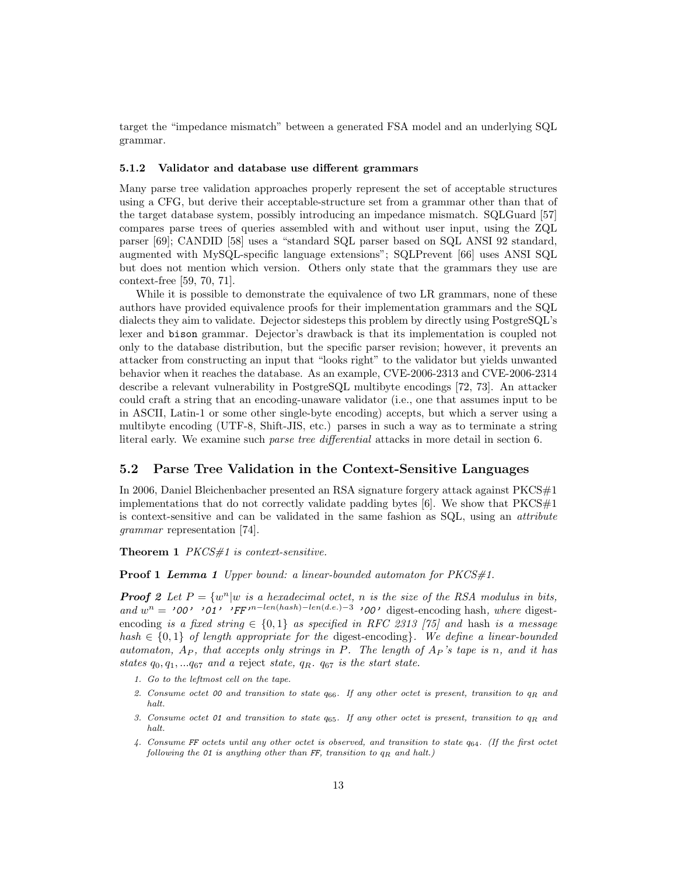target the "impedance mismatch" between a generated FSA model and an underlying SQL grammar.

#### 5.1.2 Validator and database use different grammars

Many parse tree validation approaches properly represent the set of acceptable structures using a CFG, but derive their acceptable-structure set from a grammar other than that of the target database system, possibly introducing an impedance mismatch. SQLGuard [57] compares parse trees of queries assembled with and without user input, using the ZQL parser [69]; CANDID [58] uses a "standard SQL parser based on SQL ANSI 92 standard, augmented with MySQL-specific language extensions"; SQLPrevent [66] uses ANSI SQL but does not mention which version. Others only state that the grammars they use are context-free [59, 70, 71].

While it is possible to demonstrate the equivalence of two LR grammars, none of these authors have provided equivalence proofs for their implementation grammars and the SQL dialects they aim to validate. Dejector sidesteps this problem by directly using PostgreSQL's lexer and bison grammar. Dejector's drawback is that its implementation is coupled not only to the database distribution, but the specific parser revision; however, it prevents an attacker from constructing an input that "looks right" to the validator but yields unwanted behavior when it reaches the database. As an example, CVE-2006-2313 and CVE-2006-2314 describe a relevant vulnerability in PostgreSQL multibyte encodings [72, 73]. An attacker could craft a string that an encoding-unaware validator (i.e., one that assumes input to be in ASCII, Latin-1 or some other single-byte encoding) accepts, but which a server using a multibyte encoding (UTF-8, Shift-JIS, etc.) parses in such a way as to terminate a string literal early. We examine such parse tree differential attacks in more detail in section 6.

#### 5.2 Parse Tree Validation in the Context-Sensitive Languages

In 2006, Daniel Bleichenbacher presented an RSA signature forgery attack against PKCS#1 implementations that do not correctly validate padding bytes  $[6]$ . We show that  $PKCS#1$ is context-sensitive and can be validated in the same fashion as SQL, using an attribute grammar representation [74].

#### **Theorem 1**  $PKCS#1$  is context-sensitive.

**Proof 1 Lemma 1** Upper bound: a linear-bounded automaton for  $PKCS#1$ .

**Proof 2** Let  $P = \{w^n | w$  is a hexadecimal octet, n is the size of the RSA modulus in bits, and  $w^n = '00'$  '01' 'FF'<sup>n-len(hash)-len(d.e.)-3</sup> '00' digest-encoding hash, where digestencoding is a fixed string  $\in \{0,1\}$  as specified in RFC 2313 [75] and hash is a message hash  $\in \{0,1\}$  of length appropriate for the digest-encoding}. We define a linear-bounded automaton,  $A_P$ , that accepts only strings in P. The length of  $A_P$ 's tape is n, and it has states  $q_0, q_1, \ldots q_{67}$  and a reject state,  $q_R$ .  $q_{67}$  is the start state.

- 1. Go to the leftmost cell on the tape.
- 2. Consume octet 00 and transition to state  $q_{66}$ . If any other octet is present, transition to  $q_R$  and halt.
- 3. Consume octet 01 and transition to state  $q_{65}$ . If any other octet is present, transition to  $q_R$  and halt.
- 4. Consume FF octets until any other octet is observed, and transition to state  $q_{64}$ . (If the first octet following the 01 is anything other than FF, transition to  $q_R$  and halt.)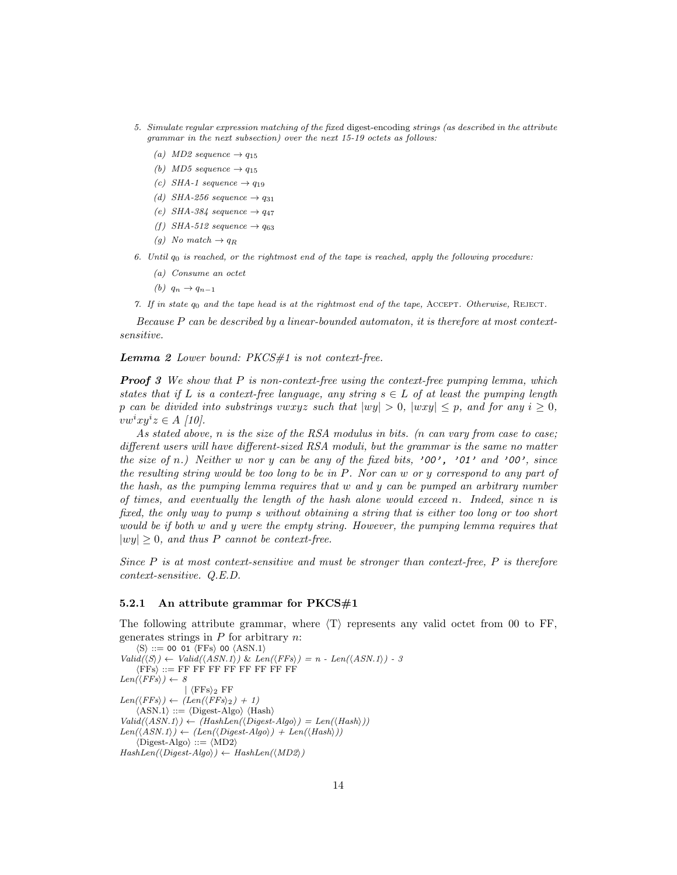- 5. Simulate regular expression matching of the fixed digest-encoding strings (as described in the attribute grammar in the next subsection) over the next 15-19 octets as follows:
	- (a) MD2 sequence  $\rightarrow$  915
	- (b) MD5 sequence  $\rightarrow q_{15}$
	- (c) SHA-1 sequence  $\rightarrow$  q<sub>19</sub>
	- (d) SHA-256 sequence  $\rightarrow$  q<sub>31</sub>
	- (e) SHA-384 sequence  $\rightarrow$  q<sub>47</sub>
	- (f) SHA-512 sequence  $\rightarrow$   $q_{63}$
	- (g) No match  $\rightarrow q_R$

6. Until  $q_0$  is reached, or the rightmost end of the tape is reached, apply the following procedure:

- (a) Consume an octet
- (b)  $q_n \rightarrow q_{n-1}$
- 7. If in state  $q_0$  and the tape head is at the rightmost end of the tape, ACCEPT. Otherwise, REJECT.

Because P can be described by a linear-bounded automaton, it is therefore at most contextsensitive.

**Lemma 2** Lower bound:  $PKCS#1$  is not context-free.

**Proof 3** We show that P is non-context-free using the context-free pumping lemma, which states that if L is a context-free language, any string  $s \in L$  of at least the pumping length p can be divided into substrings vwxyz such that  $|wy| > 0$ ,  $|wxy| \le p$ , and for any  $i \ge 0$ ,  $vw^ixy^iz \in A$  [10].

As stated above, n is the size of the RSA modulus in bits. (n can vary from case to case; different users will have different-sized RSA moduli, but the grammar is the same no matter the size of n.) Neither w nor y can be any of the fixed bits, '00', '01' and '00', since the resulting string would be too long to be in P. Nor can w or y correspond to any part of the hash, as the pumping lemma requires that w and y can be pumped an arbitrary number of times, and eventually the length of the hash alone would exceed n. Indeed, since n is fixed, the only way to pump s without obtaining a string that is either too long or too short would be if both w and y were the empty string. However, the pumping lemma requires that  $|wy| \geq 0$ , and thus P cannot be context-free.

Since  $P$  is at most context-sensitive and must be stronger than context-free,  $P$  is therefore context-sensitive. Q.E.D.

#### 5.2.1 An attribute grammar for  $PKCS#1$

The following attribute grammar, where  $\langle T \rangle$  represents any valid octet from 00 to FF, generates strings in  $P$  for arbitrary  $n$ .

 $\langle S \rangle ::= 00 01 \langle FFs \rangle 00 \langle ASN.1 \rangle$  $Valid(\langle S \rangle) \leftarrow Valid(\langle ASN.1 \rangle) \& Len(\langle FFs \rangle) = n - Len(\langle ASN.1 \rangle) - 3$  $\langle \overrightarrow{FFs} \rangle ::= \overrightarrow{FF} \overrightarrow{FF} \overrightarrow{FF} \overrightarrow{FF} \overrightarrow{FF} \overrightarrow{FF} \overrightarrow{FF} \overrightarrow{FF} \overrightarrow{FF} \overrightarrow{FF} \overrightarrow{FF} \overrightarrow{FF} \overrightarrow{FF} \overrightarrow{FF} \overrightarrow{FF} \overrightarrow{FF} \overrightarrow{FF} \overrightarrow{FF} \overrightarrow{FF} \overrightarrow{FF} \overrightarrow{FF} \overrightarrow{FF} \overrightarrow{FF} \overrightarrow{FF} \overrightarrow{FF} \overrightarrow{FF} \overrightarrow{FF} \overrightarrow{FF} \overrightarrow{FF} \overrightarrow{FF} \overrightarrow{FF} \overrightarrow{FF} \overrightarrow{FF} \overrightarrow{FF} \overrightarrow{$  $Len(\langle FFs \rangle) \leftarrow 8$  $|\langle FFs\rangle_2$  FF  $Len(\langle FFs \rangle) \leftarrow (Len(\langle FFs \rangle_2) + 1)$  $\langle \text{ASN.1} \rangle ::= \langle \text{Digest-Algo} \rangle \langle \text{Hash} \rangle$  $Valid(\langle ASN.1\rangle) \leftarrow (HashLen(\langle Digest-Algo\rangle) = Len(\langle Hash\rangle))$  $Len(\langle ASN.1\rangle) \leftarrow (Len(\langle Digest-Alqo\rangle) + Len(\langle Hash\rangle))$  $\langle\text{Digest-Algo}\rangle ::= \langle\text{MD2}\rangle$  $HashLen(\langle Digest-Algo\rangle) \leftarrow HashLen(\langle MD2\rangle)$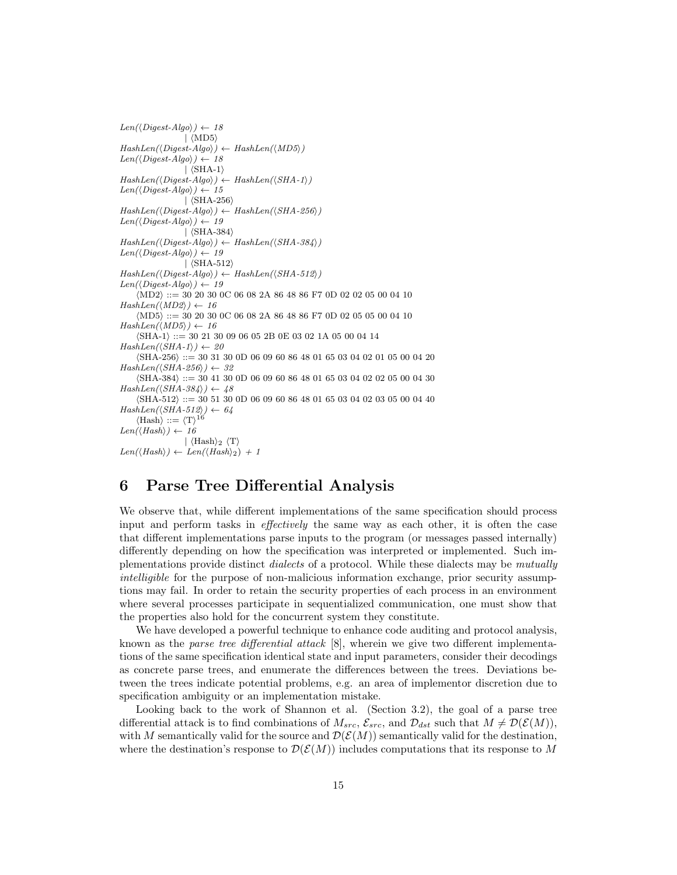```
Len(\langle Digest-Algo\rangle) \leftarrow 18|\langle MD5\rangleHashLen(\langle Digest-Algo\rangle) \leftarrow HashLen(\langle MD5\rangle)Len(\langle Digest\text{-}Algo\rangle) \leftarrow 18|\langleSHA-1\rangleHashLen(\langle Digest-Algo\rangle) \leftarrow HashLen(\langle SHA-1\rangle)Len(\langle Digest\text{-}Algo\rangle) \leftarrow 15|\langleSHA-256\rangleHashLen(\langle Digest-Algo \rangle) \leftarrow HashLen(\langle SHA-256 \rangle)Len(\langle Digest-Alqo \rangle) \leftarrow 19|\langleSHA-384\rangleHashLen(\langle Digest-Algo\rangle) \leftarrow HashLen(\langle SHA-384\rangle)Len(\langle Digest\text{-}Algo\rangle) \leftarrow 19|\langleSHA-512)
HashLen(\langle Digest-Algo\rangle) \leftarrow HashLen(\langle SHA-512\rangle)Len(\langle Digest\text{-}Algo\rangle) \leftarrow 19\langle MD2 \rangle ::= 30 20 30 0C 06 08 2A 86 48 86 F7 0D 02 02 05 00 04 10HashLen(\langle MD2\rangle) \leftarrow 16\langle MD5 \rangle ::= 30 20 30 0C 06 08 2A 86 48 86 F7 0D 02 05 05 00 04 10HashLen(\langle MD5\rangle) \leftarrow 16\langleSHA-1\rangle ::= 30 21 30 09 06 05 2B 0E 03 02 1A 05 00 04 14
HashLen(\langle SHA-1\rangle) \leftarrow 20\langleSHA-256\rangle ::= 30 31 30 0D 06 09 60 86 48 01 65 03 04 02 01 05 00 04 20
HashLen(\langle SHA-256\rangle) \leftarrow 32\langleSHA-384\rangle ::= 30 41 30 0D 06 09 60 86 48 01 65 03 04 02 02 05 00 04 30
HashLen(\langle SHA-384\rangle) \leftarrow 48\langleSHA-512\rangle ::= 30 51 30 0D 06 09 60 86 48 01 65 03 04 02 03 05 00 04 40
HashLen(\langle SHA-512\rangle) \leftarrow 64\langleHash\rangle ::= \langle T \rangle^{16}Len(\langle Hash \rangle) \leftarrow 16|\langle \text{Hash}\rangle_2 \langle \text{T}\rangleLen(\langle Hash \rangle) \leftarrow Len(\langle Hash \rangle_2) + 1
```
## 6 Parse Tree Differential Analysis

We observe that, while different implementations of the same specification should process input and perform tasks in *effectively* the same way as each other, it is often the case that different implementations parse inputs to the program (or messages passed internally) differently depending on how the specification was interpreted or implemented. Such implementations provide distinct *dialects* of a protocol. While these dialects may be *mutually* intelligible for the purpose of non-malicious information exchange, prior security assumptions may fail. In order to retain the security properties of each process in an environment where several processes participate in sequentialized communication, one must show that the properties also hold for the concurrent system they constitute.

We have developed a powerful technique to enhance code auditing and protocol analysis, known as the *parse tree differential attack* [8], wherein we give two different implementations of the same specification identical state and input parameters, consider their decodings as concrete parse trees, and enumerate the differences between the trees. Deviations between the trees indicate potential problems, e.g. an area of implementor discretion due to specification ambiguity or an implementation mistake.

Looking back to the work of Shannon et al. (Section 3.2), the goal of a parse tree differential attack is to find combinations of  $M_{src}$ ,  $\mathcal{E}_{src}$ , and  $\mathcal{D}_{dst}$  such that  $M \neq \mathcal{D}(\mathcal{E}(M))$ , with M semantically valid for the source and  $\mathcal{D}(\mathcal{E}(M))$  semantically valid for the destination, where the destination's response to  $\mathcal{D}(\mathcal{E}(M))$  includes computations that its response to M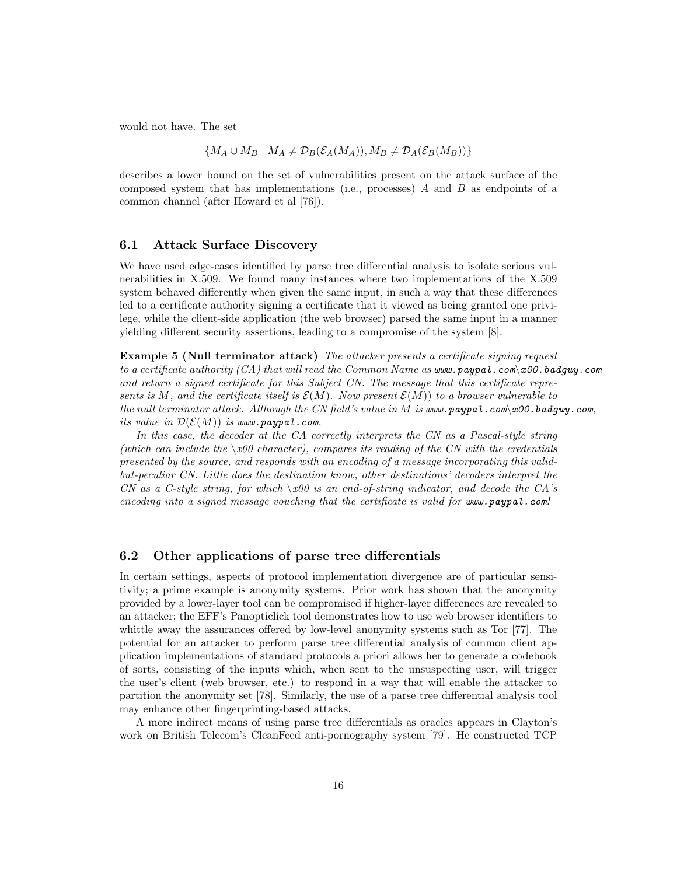would not have. The set

 $\{M_A \cup M_B \mid M_A \neq \mathcal{D}_B(\mathcal{E}_A(M_A)), M_B \neq \mathcal{D}_A(\mathcal{E}_B(M_B))\}$ 

describes a lower bound on the set of vulnerabilities present on the attack surface of the composed system that has implementations (i.e., processes)  $A$  and  $B$  as endpoints of a common channel (after Howard et al [76]).

#### 6.1 Attack Surface Discovery

We have used edge-cases identified by parse tree differential analysis to isolate serious vulnerabilities in X.509. We found many instances where two implementations of the X.509 system behaved differently when given the same input, in such a way that these differences led to a certificate authority signing a certificate that it viewed as being granted one privilege, while the client-side application (the web browser) parsed the same input in a manner yielding different security assertions, leading to a compromise of the system [8].

Example 5 (Null terminator attack) The attacker presents a certificate signing request to a certificate authority (CA) that will read the Common Name as www.paypal.com\x00.badguy.com and return a signed certificate for this Subject CN. The message that this certificate represents is M, and the certificate itself is  $\mathcal{E}(M)$ . Now present  $\mathcal{E}(M)$  to a browser vulnerable to the null terminator attack. Although the CN field's value in M is www.paypal.com $\chi$ 00.badguy.com, its value in  $\mathcal{D}(\mathcal{E}(M))$  is www.paypal.com.

In this case, the decoder at the CA correctly interprets the CN as a Pascal-style string (which can include the  $\&00$  character), compares its reading of the CN with the credentials presented by the source, and responds with an encoding of a message incorporating this validbut-peculiar CN. Little does the destination know, other destinations' decoders interpret the CN as a C-style string, for which  $\chi v00$  is an end-of-string indicator, and decode the CA's encoding into a signed message vouching that the certificate is valid for www.paypal.com!

### 6.2 Other applications of parse tree differentials

In certain settings, aspects of protocol implementation divergence are of particular sensitivity; a prime example is anonymity systems. Prior work has shown that the anonymity provided by a lower-layer tool can be compromised if higher-layer differences are revealed to an attacker; the EFF's Panopticlick tool demonstrates how to use web browser identifiers to whittle away the assurances offered by low-level anonymity systems such as Tor [77]. The potential for an attacker to perform parse tree differential analysis of common client application implementations of standard protocols a priori allows her to generate a codebook of sorts, consisting of the inputs which, when sent to the unsuspecting user, will trigger the user's client (web browser, etc.) to respond in a way that will enable the attacker to partition the anonymity set [78]. Similarly, the use of a parse tree differential analysis tool may enhance other fingerprinting-based attacks.

A more indirect means of using parse tree differentials as oracles appears in Clayton's work on British Telecom's CleanFeed anti-pornography system [79]. He constructed TCP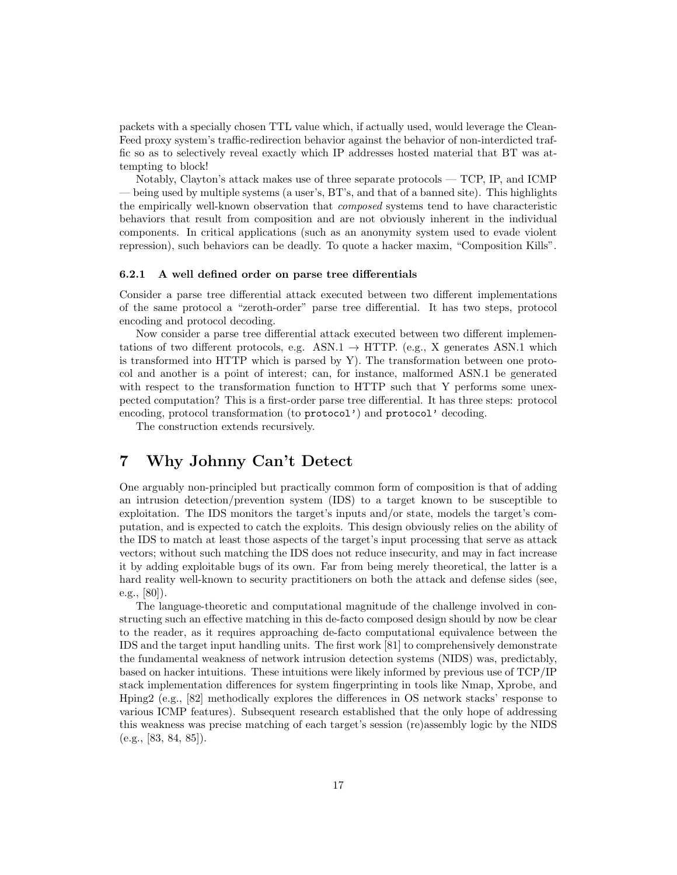packets with a specially chosen TTL value which, if actually used, would leverage the Clean-Feed proxy system's traffic-redirection behavior against the behavior of non-interdicted traffic so as to selectively reveal exactly which IP addresses hosted material that BT was attempting to block!

Notably, Clayton's attack makes use of three separate protocols — TCP, IP, and ICMP — being used by multiple systems (a user's, BT's, and that of a banned site). This highlights the empirically well-known observation that composed systems tend to have characteristic behaviors that result from composition and are not obviously inherent in the individual components. In critical applications (such as an anonymity system used to evade violent repression), such behaviors can be deadly. To quote a hacker maxim, "Composition Kills".

#### 6.2.1 A well defined order on parse tree differentials

Consider a parse tree differential attack executed between two different implementations of the same protocol a "zeroth-order" parse tree differential. It has two steps, protocol encoding and protocol decoding.

Now consider a parse tree differential attack executed between two different implementations of two different protocols, e.g.  $\text{ASN.1} \rightarrow \text{HTTP}$ . (e.g., X generates ASN.1 which is transformed into HTTP which is parsed by Y). The transformation between one protocol and another is a point of interest; can, for instance, malformed ASN.1 be generated with respect to the transformation function to HTTP such that Y performs some unexpected computation? This is a first-order parse tree differential. It has three steps: protocol encoding, protocol transformation (to protocol') and protocol' decoding.

The construction extends recursively.

## 7 Why Johnny Can't Detect

One arguably non-principled but practically common form of composition is that of adding an intrusion detection/prevention system (IDS) to a target known to be susceptible to exploitation. The IDS monitors the target's inputs and/or state, models the target's computation, and is expected to catch the exploits. This design obviously relies on the ability of the IDS to match at least those aspects of the target's input processing that serve as attack vectors; without such matching the IDS does not reduce insecurity, and may in fact increase it by adding exploitable bugs of its own. Far from being merely theoretical, the latter is a hard reality well-known to security practitioners on both the attack and defense sides (see, e.g., [80]).

The language-theoretic and computational magnitude of the challenge involved in constructing such an effective matching in this de-facto composed design should by now be clear to the reader, as it requires approaching de-facto computational equivalence between the IDS and the target input handling units. The first work [81] to comprehensively demonstrate the fundamental weakness of network intrusion detection systems (NIDS) was, predictably, based on hacker intuitions. These intuitions were likely informed by previous use of TCP/IP stack implementation differences for system fingerprinting in tools like Nmap, Xprobe, and Hping2 (e.g., [82] methodically explores the differences in OS network stacks' response to various ICMP features). Subsequent research established that the only hope of addressing this weakness was precise matching of each target's session (re)assembly logic by the NIDS  $(e.g., [83, 84, 85]).$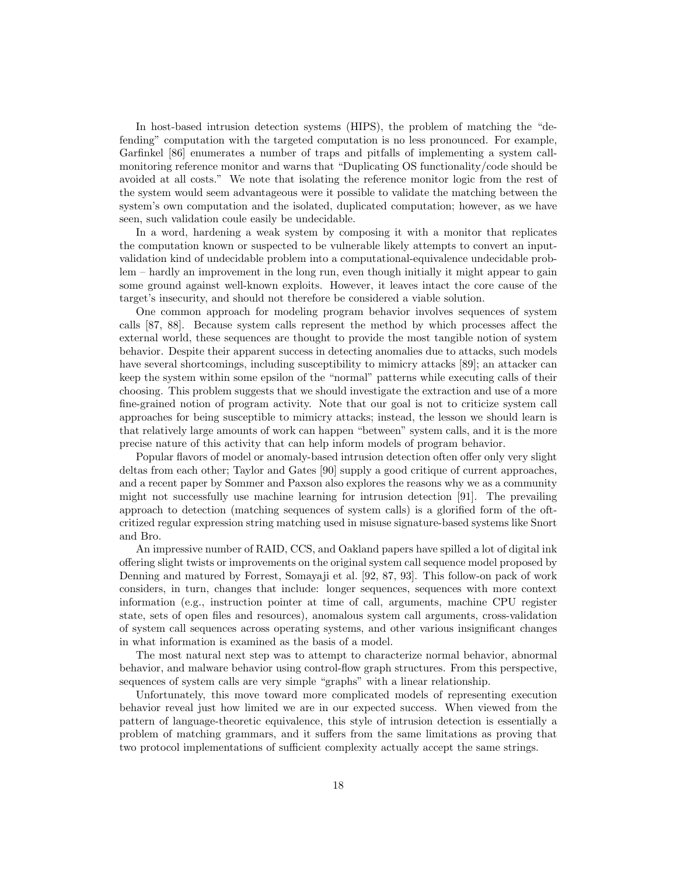In host-based intrusion detection systems (HIPS), the problem of matching the "defending" computation with the targeted computation is no less pronounced. For example, Garfinkel [86] enumerates a number of traps and pitfalls of implementing a system callmonitoring reference monitor and warns that "Duplicating OS functionality/code should be avoided at all costs." We note that isolating the reference monitor logic from the rest of the system would seem advantageous were it possible to validate the matching between the system's own computation and the isolated, duplicated computation; however, as we have seen, such validation coule easily be undecidable.

In a word, hardening a weak system by composing it with a monitor that replicates the computation known or suspected to be vulnerable likely attempts to convert an inputvalidation kind of undecidable problem into a computational-equivalence undecidable problem – hardly an improvement in the long run, even though initially it might appear to gain some ground against well-known exploits. However, it leaves intact the core cause of the target's insecurity, and should not therefore be considered a viable solution.

One common approach for modeling program behavior involves sequences of system calls [87, 88]. Because system calls represent the method by which processes affect the external world, these sequences are thought to provide the most tangible notion of system behavior. Despite their apparent success in detecting anomalies due to attacks, such models have several shortcomings, including susceptibility to mimicry attacks [89]; an attacker can keep the system within some epsilon of the "normal" patterns while executing calls of their choosing. This problem suggests that we should investigate the extraction and use of a more fine-grained notion of program activity. Note that our goal is not to criticize system call approaches for being susceptible to mimicry attacks; instead, the lesson we should learn is that relatively large amounts of work can happen "between" system calls, and it is the more precise nature of this activity that can help inform models of program behavior.

Popular flavors of model or anomaly-based intrusion detection often offer only very slight deltas from each other; Taylor and Gates [90] supply a good critique of current approaches, and a recent paper by Sommer and Paxson also explores the reasons why we as a community might not successfully use machine learning for intrusion detection [91]. The prevailing approach to detection (matching sequences of system calls) is a glorified form of the oftcritized regular expression string matching used in misuse signature-based systems like Snort and Bro.

An impressive number of RAID, CCS, and Oakland papers have spilled a lot of digital ink offering slight twists or improvements on the original system call sequence model proposed by Denning and matured by Forrest, Somayaji et al. [92, 87, 93]. This follow-on pack of work considers, in turn, changes that include: longer sequences, sequences with more context information (e.g., instruction pointer at time of call, arguments, machine CPU register state, sets of open files and resources), anomalous system call arguments, cross-validation of system call sequences across operating systems, and other various insignificant changes in what information is examined as the basis of a model.

The most natural next step was to attempt to characterize normal behavior, abnormal behavior, and malware behavior using control-flow graph structures. From this perspective, sequences of system calls are very simple "graphs" with a linear relationship.

Unfortunately, this move toward more complicated models of representing execution behavior reveal just how limited we are in our expected success. When viewed from the pattern of language-theoretic equivalence, this style of intrusion detection is essentially a problem of matching grammars, and it suffers from the same limitations as proving that two protocol implementations of sufficient complexity actually accept the same strings.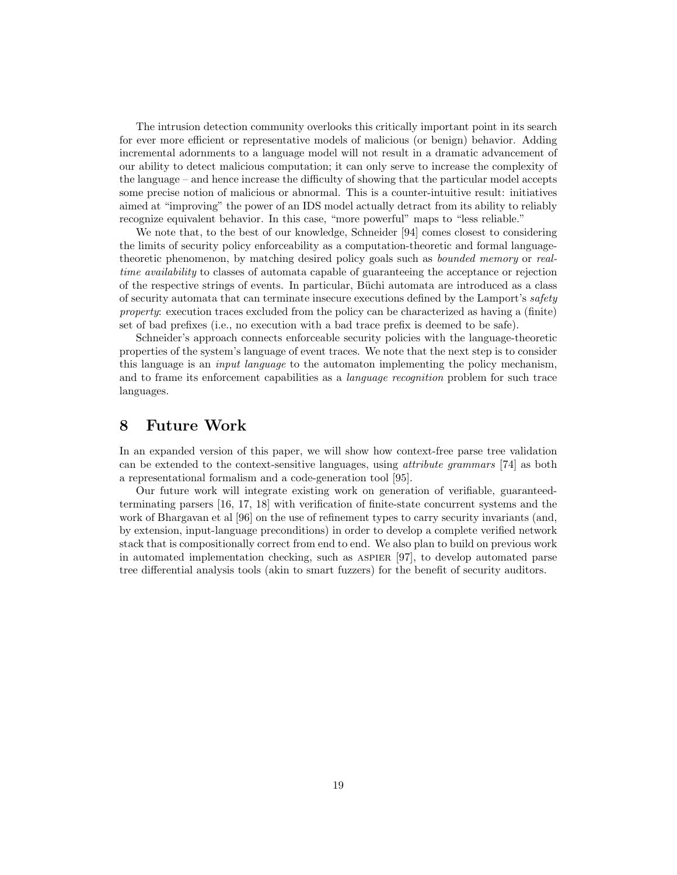The intrusion detection community overlooks this critically important point in its search for ever more efficient or representative models of malicious (or benign) behavior. Adding incremental adornments to a language model will not result in a dramatic advancement of our ability to detect malicious computation; it can only serve to increase the complexity of the language – and hence increase the difficulty of showing that the particular model accepts some precise notion of malicious or abnormal. This is a counter-intuitive result: initiatives aimed at "improving" the power of an IDS model actually detract from its ability to reliably recognize equivalent behavior. In this case, "more powerful" maps to "less reliable."

We note that, to the best of our knowledge, Schneider [94] comes closest to considering the limits of security policy enforceability as a computation-theoretic and formal languagetheoretic phenomenon, by matching desired policy goals such as *bounded memory* or realtime availability to classes of automata capable of guaranteeing the acceptance or rejection of the respective strings of events. In particular, B¨uchi automata are introduced as a class of security automata that can terminate insecure executions defined by the Lamport's safety property: execution traces excluded from the policy can be characterized as having a (finite) set of bad prefixes (i.e., no execution with a bad trace prefix is deemed to be safe).

Schneider's approach connects enforceable security policies with the language-theoretic properties of the system's language of event traces. We note that the next step is to consider this language is an input language to the automaton implementing the policy mechanism, and to frame its enforcement capabilities as a language recognition problem for such trace languages.

## 8 Future Work

In an expanded version of this paper, we will show how context-free parse tree validation can be extended to the context-sensitive languages, using attribute grammars [74] as both a representational formalism and a code-generation tool [95].

Our future work will integrate existing work on generation of verifiable, guaranteedterminating parsers [16, 17, 18] with verification of finite-state concurrent systems and the work of Bhargavan et al [96] on the use of refinement types to carry security invariants (and, by extension, input-language preconditions) in order to develop a complete verified network stack that is compositionally correct from end to end. We also plan to build on previous work in automated implementation checking, such as aspier [97], to develop automated parse tree differential analysis tools (akin to smart fuzzers) for the benefit of security auditors.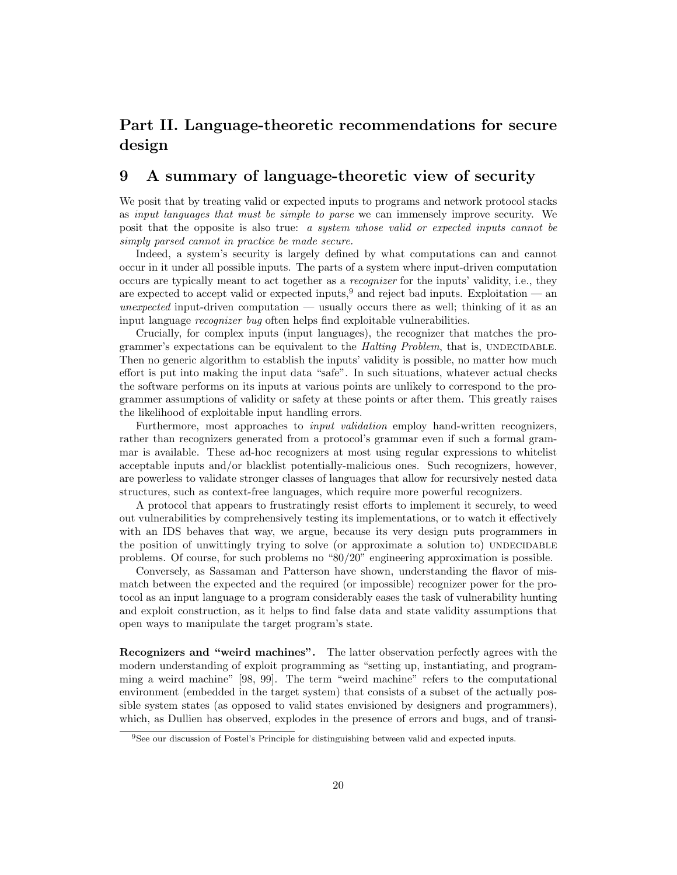# Part II. Language-theoretic recommendations for secure design

## 9 A summary of language-theoretic view of security

We posit that by treating valid or expected inputs to programs and network protocol stacks as input languages that must be simple to parse we can immensely improve security. We posit that the opposite is also true: a system whose valid or expected inputs cannot be simply parsed cannot in practice be made secure.

Indeed, a system's security is largely defined by what computations can and cannot occur in it under all possible inputs. The parts of a system where input-driven computation occurs are typically meant to act together as a recognizer for the inputs' validity, i.e., they are expected to accept valid or expected inputs,<sup>9</sup> and reject bad inputs. Exploitation — an unexpected input-driven computation — usually occurs there as well; thinking of it as an input language recognizer bug often helps find exploitable vulnerabilities.

Crucially, for complex inputs (input languages), the recognizer that matches the programmer's expectations can be equivalent to the *Halting Problem*, that is, UNDECIDABLE. Then no generic algorithm to establish the inputs' validity is possible, no matter how much effort is put into making the input data "safe". In such situations, whatever actual checks the software performs on its inputs at various points are unlikely to correspond to the programmer assumptions of validity or safety at these points or after them. This greatly raises the likelihood of exploitable input handling errors.

Furthermore, most approaches to input validation employ hand-written recognizers, rather than recognizers generated from a protocol's grammar even if such a formal grammar is available. These ad-hoc recognizers at most using regular expressions to whitelist acceptable inputs and/or blacklist potentially-malicious ones. Such recognizers, however, are powerless to validate stronger classes of languages that allow for recursively nested data structures, such as context-free languages, which require more powerful recognizers.

A protocol that appears to frustratingly resist efforts to implement it securely, to weed out vulnerabilities by comprehensively testing its implementations, or to watch it effectively with an IDS behaves that way, we argue, because its very design puts programmers in the position of unwittingly trying to solve (or approximate a solution to) UNDECIDABLE problems. Of course, for such problems no "80/20" engineering approximation is possible.

Conversely, as Sassaman and Patterson have shown, understanding the flavor of mismatch between the expected and the required (or impossible) recognizer power for the protocol as an input language to a program considerably eases the task of vulnerability hunting and exploit construction, as it helps to find false data and state validity assumptions that open ways to manipulate the target program's state.

Recognizers and "weird machines". The latter observation perfectly agrees with the modern understanding of exploit programming as "setting up, instantiating, and programming a weird machine" [98, 99]. The term "weird machine" refers to the computational environment (embedded in the target system) that consists of a subset of the actually possible system states (as opposed to valid states envisioned by designers and programmers), which, as Dullien has observed, explodes in the presence of errors and bugs, and of transi-

<sup>9</sup>See our discussion of Postel's Principle for distinguishing between valid and expected inputs.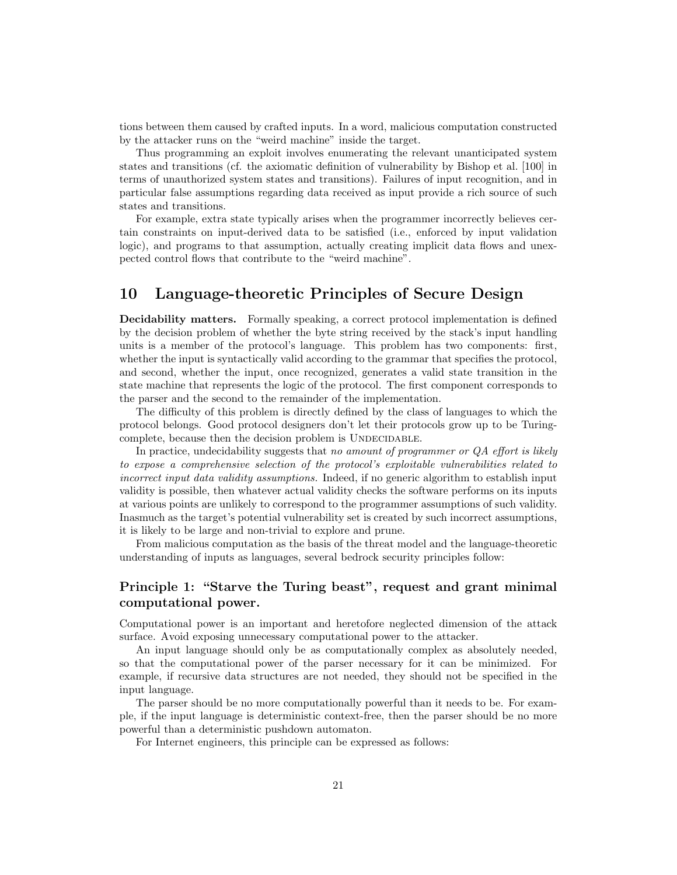tions between them caused by crafted inputs. In a word, malicious computation constructed by the attacker runs on the "weird machine" inside the target.

Thus programming an exploit involves enumerating the relevant unanticipated system states and transitions (cf. the axiomatic definition of vulnerability by Bishop et al. [100] in terms of unauthorized system states and transitions). Failures of input recognition, and in particular false assumptions regarding data received as input provide a rich source of such states and transitions.

For example, extra state typically arises when the programmer incorrectly believes certain constraints on input-derived data to be satisfied (i.e., enforced by input validation logic), and programs to that assumption, actually creating implicit data flows and unexpected control flows that contribute to the "weird machine".

## 10 Language-theoretic Principles of Secure Design

Decidability matters. Formally speaking, a correct protocol implementation is defined by the decision problem of whether the byte string received by the stack's input handling units is a member of the protocol's language. This problem has two components: first, whether the input is syntactically valid according to the grammar that specifies the protocol, and second, whether the input, once recognized, generates a valid state transition in the state machine that represents the logic of the protocol. The first component corresponds to the parser and the second to the remainder of the implementation.

The difficulty of this problem is directly defined by the class of languages to which the protocol belongs. Good protocol designers don't let their protocols grow up to be Turingcomplete, because then the decision problem is UNDECIDABLE.

In practice, undecidability suggests that no amount of programmer or QA effort is likely to expose a comprehensive selection of the protocol's exploitable vulnerabilities related to incorrect input data validity assumptions. Indeed, if no generic algorithm to establish input validity is possible, then whatever actual validity checks the software performs on its inputs at various points are unlikely to correspond to the programmer assumptions of such validity. Inasmuch as the target's potential vulnerability set is created by such incorrect assumptions, it is likely to be large and non-trivial to explore and prune.

From malicious computation as the basis of the threat model and the language-theoretic understanding of inputs as languages, several bedrock security principles follow:

### Principle 1: "Starve the Turing beast", request and grant minimal computational power.

Computational power is an important and heretofore neglected dimension of the attack surface. Avoid exposing unnecessary computational power to the attacker.

An input language should only be as computationally complex as absolutely needed, so that the computational power of the parser necessary for it can be minimized. For example, if recursive data structures are not needed, they should not be specified in the input language.

The parser should be no more computationally powerful than it needs to be. For example, if the input language is deterministic context-free, then the parser should be no more powerful than a deterministic pushdown automaton.

For Internet engineers, this principle can be expressed as follows: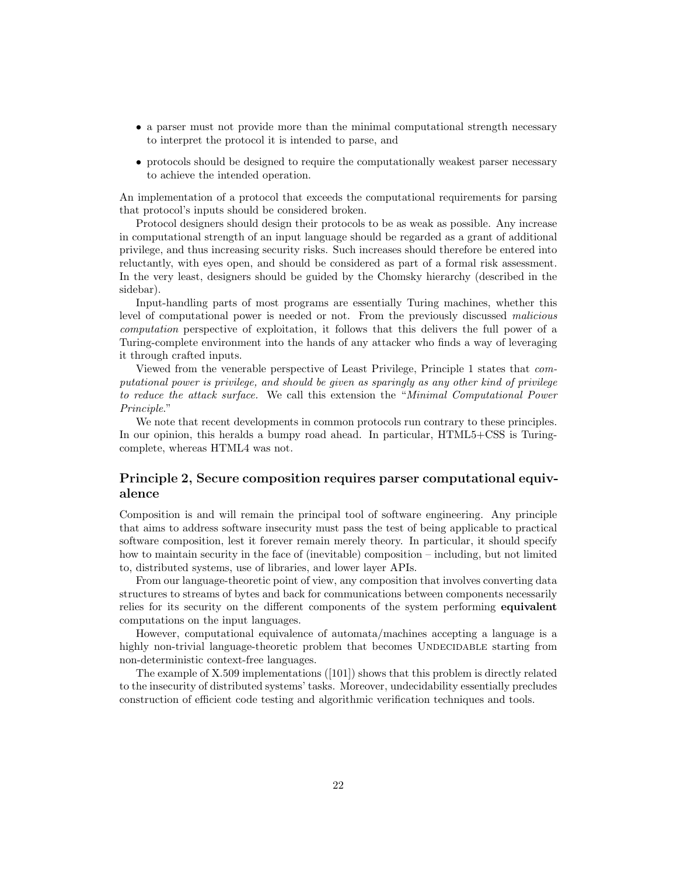- a parser must not provide more than the minimal computational strength necessary to interpret the protocol it is intended to parse, and
- protocols should be designed to require the computationally weakest parser necessary to achieve the intended operation.

An implementation of a protocol that exceeds the computational requirements for parsing that protocol's inputs should be considered broken.

Protocol designers should design their protocols to be as weak as possible. Any increase in computational strength of an input language should be regarded as a grant of additional privilege, and thus increasing security risks. Such increases should therefore be entered into reluctantly, with eyes open, and should be considered as part of a formal risk assessment. In the very least, designers should be guided by the Chomsky hierarchy (described in the sidebar).

Input-handling parts of most programs are essentially Turing machines, whether this level of computational power is needed or not. From the previously discussed malicious computation perspective of exploitation, it follows that this delivers the full power of a Turing-complete environment into the hands of any attacker who finds a way of leveraging it through crafted inputs.

Viewed from the venerable perspective of Least Privilege, Principle 1 states that computational power is privilege, and should be given as sparingly as any other kind of privilege to reduce the attack surface. We call this extension the "Minimal Computational Power Principle."

We note that recent developments in common protocols run contrary to these principles. In our opinion, this heralds a bumpy road ahead. In particular, HTML5+CSS is Turingcomplete, whereas HTML4 was not.

### Principle 2, Secure composition requires parser computational equivalence

Composition is and will remain the principal tool of software engineering. Any principle that aims to address software insecurity must pass the test of being applicable to practical software composition, lest it forever remain merely theory. In particular, it should specify how to maintain security in the face of (inevitable) composition – including, but not limited to, distributed systems, use of libraries, and lower layer APIs.

From our language-theoretic point of view, any composition that involves converting data structures to streams of bytes and back for communications between components necessarily relies for its security on the different components of the system performing equivalent computations on the input languages.

However, computational equivalence of automata/machines accepting a language is a highly non-trivial language-theoretic problem that becomes UNDECIDABLE starting from non-deterministic context-free languages.

The example of X.509 implementations ([101]) shows that this problem is directly related to the insecurity of distributed systems' tasks. Moreover, undecidability essentially precludes construction of efficient code testing and algorithmic verification techniques and tools.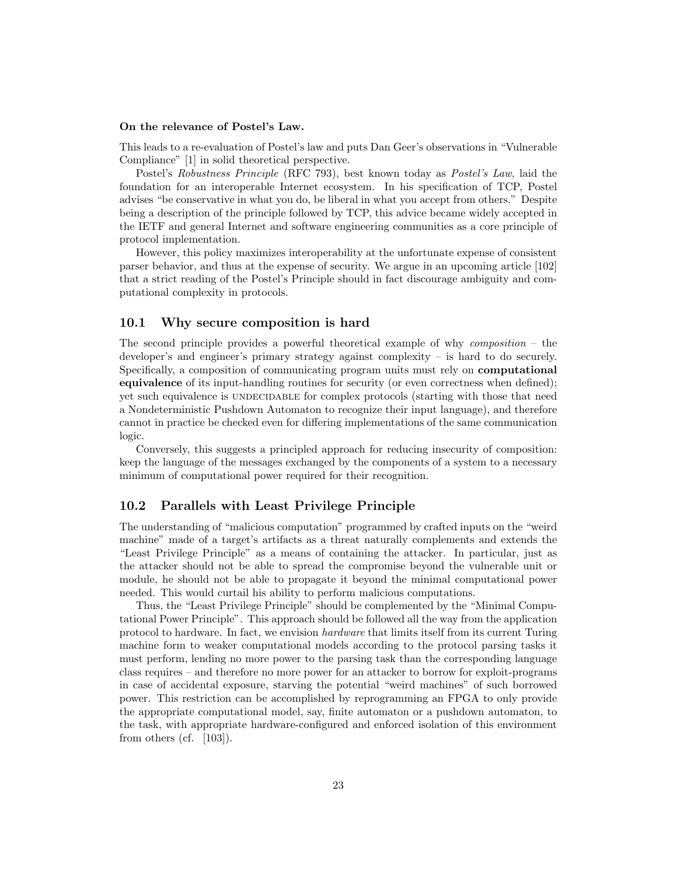#### On the relevance of Postel's Law.

This leads to a re-evaluation of Postel's law and puts Dan Geer's observations in "Vulnerable Compliance" [1] in solid theoretical perspective.

Postel's Robustness Principle (RFC 793), best known today as Postel's Law, laid the foundation for an interoperable Internet ecosystem. In his specification of TCP, Postel advises "be conservative in what you do, be liberal in what you accept from others." Despite being a description of the principle followed by TCP, this advice became widely accepted in the IETF and general Internet and software engineering communities as a core principle of protocol implementation.

However, this policy maximizes interoperability at the unfortunate expense of consistent parser behavior, and thus at the expense of security. We argue in an upcoming article [102] that a strict reading of the Postel's Principle should in fact discourage ambiguity and computational complexity in protocols.

#### 10.1 Why secure composition is hard

The second principle provides a powerful theoretical example of why composition – the developer's and engineer's primary strategy against complexity – is hard to do securely. Specifically, a composition of communicating program units must rely on computational equivalence of its input-handling routines for security (or even correctness when defined); yet such equivalence is UNDECIDABLE for complex protocols (starting with those that need a Nondeterministic Pushdown Automaton to recognize their input language), and therefore cannot in practice be checked even for differing implementations of the same communication logic.

Conversely, this suggests a principled approach for reducing insecurity of composition: keep the language of the messages exchanged by the components of a system to a necessary minimum of computational power required for their recognition.

#### 10.2 Parallels with Least Privilege Principle

The understanding of "malicious computation" programmed by crafted inputs on the "weird machine" made of a target's artifacts as a threat naturally complements and extends the "Least Privilege Principle" as a means of containing the attacker. In particular, just as the attacker should not be able to spread the compromise beyond the vulnerable unit or module, he should not be able to propagate it beyond the minimal computational power needed. This would curtail his ability to perform malicious computations.

Thus, the "Least Privilege Principle" should be complemented by the "Minimal Computational Power Principle". This approach should be followed all the way from the application protocol to hardware. In fact, we envision hardware that limits itself from its current Turing machine form to weaker computational models according to the protocol parsing tasks it must perform, lending no more power to the parsing task than the corresponding language class requires – and therefore no more power for an attacker to borrow for exploit-programs in case of accidental exposure, starving the potential "weird machines" of such borrowed power. This restriction can be accomplished by reprogramming an FPGA to only provide the appropriate computational model, say, finite automaton or a pushdown automaton, to the task, with appropriate hardware-configured and enforced isolation of this environment from others (cf.  $[103]$ ).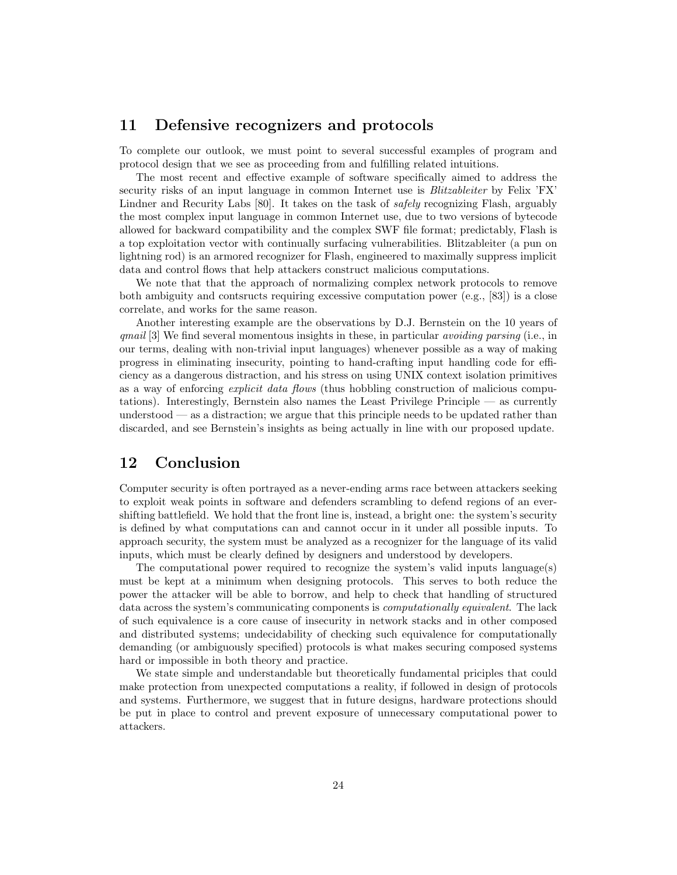### 11 Defensive recognizers and protocols

To complete our outlook, we must point to several successful examples of program and protocol design that we see as proceeding from and fulfilling related intuitions.

The most recent and effective example of software specifically aimed to address the security risks of an input language in common Internet use is *Blitzableiter* by Felix 'FX' Lindner and Recurity Labs [80]. It takes on the task of *safely* recognizing Flash, arguably the most complex input language in common Internet use, due to two versions of bytecode allowed for backward compatibility and the complex SWF file format; predictably, Flash is a top exploitation vector with continually surfacing vulnerabilities. Blitzableiter (a pun on lightning rod) is an armored recognizer for Flash, engineered to maximally suppress implicit data and control flows that help attackers construct malicious computations.

We note that that the approach of normalizing complex network protocols to remove both ambiguity and contsructs requiring excessive computation power (e.g., [83]) is a close correlate, and works for the same reason.

Another interesting example are the observations by D.J. Bernstein on the 10 years of qmail [3] We find several momentous insights in these, in particular avoiding parsing (i.e., in our terms, dealing with non-trivial input languages) whenever possible as a way of making progress in eliminating insecurity, pointing to hand-crafting input handling code for efficiency as a dangerous distraction, and his stress on using UNIX context isolation primitives as a way of enforcing *explicit data flows* (thus hobbling construction of malicious computations). Interestingly, Bernstein also names the Least Privilege Principle — as currently understood — as a distraction; we argue that this principle needs to be updated rather than discarded, and see Bernstein's insights as being actually in line with our proposed update.

## 12 Conclusion

Computer security is often portrayed as a never-ending arms race between attackers seeking to exploit weak points in software and defenders scrambling to defend regions of an evershifting battlefield. We hold that the front line is, instead, a bright one: the system's security is defined by what computations can and cannot occur in it under all possible inputs. To approach security, the system must be analyzed as a recognizer for the language of its valid inputs, which must be clearly defined by designers and understood by developers.

The computational power required to recognize the system's valid inputs language(s) must be kept at a minimum when designing protocols. This serves to both reduce the power the attacker will be able to borrow, and help to check that handling of structured data across the system's communicating components is *computationally equivalent*. The lack of such equivalence is a core cause of insecurity in network stacks and in other composed and distributed systems; undecidability of checking such equivalence for computationally demanding (or ambiguously specified) protocols is what makes securing composed systems hard or impossible in both theory and practice.

We state simple and understandable but theoretically fundamental priciples that could make protection from unexpected computations a reality, if followed in design of protocols and systems. Furthermore, we suggest that in future designs, hardware protections should be put in place to control and prevent exposure of unnecessary computational power to attackers.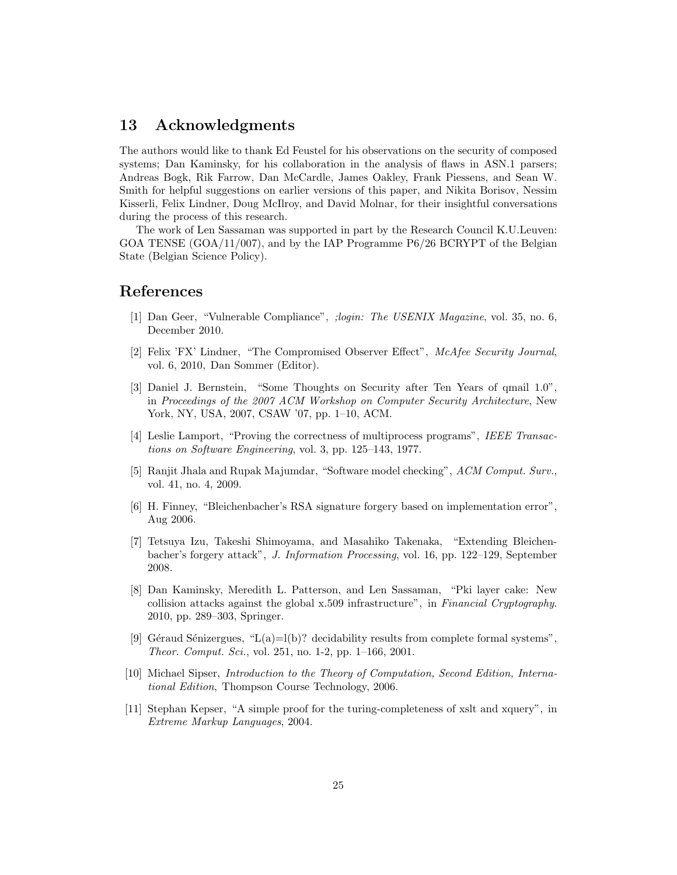### 13 Acknowledgments

The authors would like to thank Ed Feustel for his observations on the security of composed systems; Dan Kaminsky, for his collaboration in the analysis of flaws in ASN.1 parsers; Andreas Bogk, Rik Farrow, Dan McCardle, James Oakley, Frank Piessens, and Sean W. Smith for helpful suggestions on earlier versions of this paper, and Nikita Borisov, Nessim Kisserli, Felix Lindner, Doug McIlroy, and David Molnar, for their insightful conversations during the process of this research.

The work of Len Sassaman was supported in part by the Research Council K.U.Leuven: GOA TENSE (GOA/11/007), and by the IAP Programme  $P6/26$  BCRYPT of the Belgian State (Belgian Science Policy).

## References

- [1] Dan Geer, "Vulnerable Compliance", ;login: The USENIX Magazine, vol. 35, no. 6, December 2010.
- [2] Felix 'FX' Lindner, "The Compromised Observer Effect", McAfee Security Journal, vol. 6, 2010, Dan Sommer (Editor).
- [3] Daniel J. Bernstein, "Some Thoughts on Security after Ten Years of qmail 1.0", in Proceedings of the 2007 ACM Workshop on Computer Security Architecture, New York, NY, USA, 2007, CSAW '07, pp. 1–10, ACM.
- [4] Leslie Lamport, "Proving the correctness of multiprocess programs", IEEE Transactions on Software Engineering, vol. 3, pp. 125–143, 1977.
- [5] Ranjit Jhala and Rupak Majumdar, "Software model checking", ACM Comput. Surv., vol. 41, no. 4, 2009.
- [6] H. Finney, "Bleichenbacher's RSA signature forgery based on implementation error", Aug 2006.
- [7] Tetsuya Izu, Takeshi Shimoyama, and Masahiko Takenaka, "Extending Bleichenbacher's forgery attack", J. Information Processing, vol. 16, pp. 122–129, September 2008.
- [8] Dan Kaminsky, Meredith L. Patterson, and Len Sassaman, "Pki layer cake: New collision attacks against the global x.509 infrastructure", in Financial Cryptography. 2010, pp. 289–303, Springer.
- [9] Géraud Sénizergues, "L(a)=l(b)? decidability results from complete formal systems", Theor. Comput. Sci., vol. 251, no. 1-2, pp. 1–166, 2001.
- [10] Michael Sipser, Introduction to the Theory of Computation, Second Edition, International Edition, Thompson Course Technology, 2006.
- [11] Stephan Kepser, "A simple proof for the turing-completeness of xslt and xquery", in Extreme Markup Languages, 2004.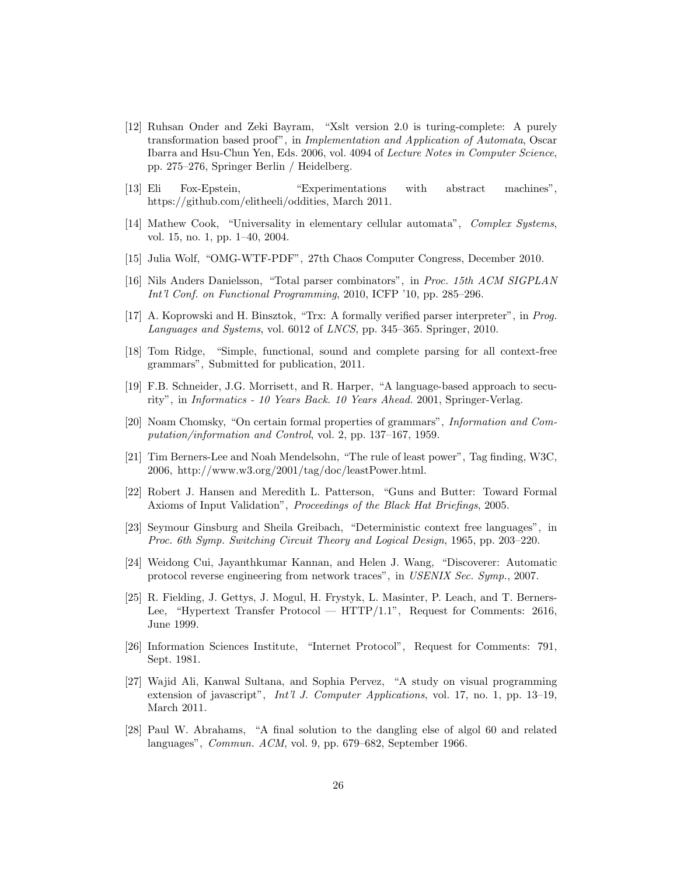- [12] Ruhsan Onder and Zeki Bayram, "Xslt version 2.0 is turing-complete: A purely transformation based proof", in Implementation and Application of Automata, Oscar Ibarra and Hsu-Chun Yen, Eds. 2006, vol. 4094 of Lecture Notes in Computer Science, pp. 275–276, Springer Berlin / Heidelberg.
- [13] Eli Fox-Epstein, "Experimentations with abstract machines", https://github.com/elitheeli/oddities, March 2011.
- [14] Mathew Cook, "Universality in elementary cellular automata", Complex Systems, vol. 15, no. 1, pp. 1–40, 2004.
- [15] Julia Wolf, "OMG-WTF-PDF", 27th Chaos Computer Congress, December 2010.
- [16] Nils Anders Danielsson, "Total parser combinators", in Proc. 15th ACM SIGPLAN Int'l Conf. on Functional Programming, 2010, ICFP '10, pp. 285–296.
- [17] A. Koprowski and H. Binsztok, "Trx: A formally verified parser interpreter", in Prog. Languages and Systems, vol. 6012 of LNCS, pp. 345–365. Springer, 2010.
- [18] Tom Ridge, "Simple, functional, sound and complete parsing for all context-free grammars", Submitted for publication, 2011.
- [19] F.B. Schneider, J.G. Morrisett, and R. Harper, "A language-based approach to security", in Informatics - 10 Years Back. 10 Years Ahead. 2001, Springer-Verlag.
- [20] Noam Chomsky, "On certain formal properties of grammars", Information and Computation/information and Control, vol. 2, pp. 137–167, 1959.
- [21] Tim Berners-Lee and Noah Mendelsohn, "The rule of least power", Tag finding, W3C, 2006, http://www.w3.org/2001/tag/doc/leastPower.html.
- [22] Robert J. Hansen and Meredith L. Patterson, "Guns and Butter: Toward Formal Axioms of Input Validation", Proceedings of the Black Hat Briefings, 2005.
- [23] Seymour Ginsburg and Sheila Greibach, "Deterministic context free languages", in Proc. 6th Symp. Switching Circuit Theory and Logical Design, 1965, pp. 203–220.
- [24] Weidong Cui, Jayanthkumar Kannan, and Helen J. Wang, "Discoverer: Automatic protocol reverse engineering from network traces", in USENIX Sec. Symp., 2007.
- [25] R. Fielding, J. Gettys, J. Mogul, H. Frystyk, L. Masinter, P. Leach, and T. Berners-Lee, "Hypertext Transfer Protocol — HTTP/1.1", Request for Comments: 2616, June 1999.
- [26] Information Sciences Institute, "Internet Protocol", Request for Comments: 791, Sept. 1981.
- [27] Wajid Ali, Kanwal Sultana, and Sophia Pervez, "A study on visual programming extension of javascript", Int'l J. Computer Applications, vol. 17, no. 1, pp. 13–19, March 2011.
- [28] Paul W. Abrahams, "A final solution to the dangling else of algol 60 and related languages", Commun. ACM, vol. 9, pp. 679–682, September 1966.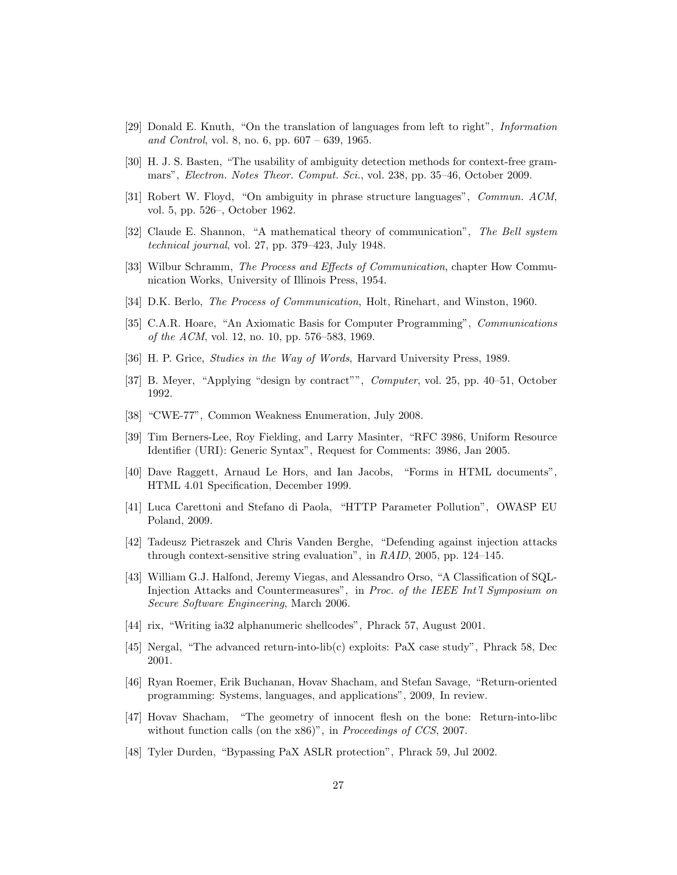- [29] Donald E. Knuth, "On the translation of languages from left to right", Information and Control, vol. 8, no. 6, pp. 607 – 639, 1965.
- [30] H. J. S. Basten, "The usability of ambiguity detection methods for context-free grammars", Electron. Notes Theor. Comput. Sci., vol. 238, pp. 35–46, October 2009.
- [31] Robert W. Floyd, "On ambiguity in phrase structure languages", Commun. ACM, vol. 5, pp. 526–, October 1962.
- [32] Claude E. Shannon, "A mathematical theory of communication", The Bell system technical journal, vol. 27, pp. 379–423, July 1948.
- [33] Wilbur Schramm, The Process and Effects of Communication, chapter How Communication Works, University of Illinois Press, 1954.
- [34] D.K. Berlo, The Process of Communication, Holt, Rinehart, and Winston, 1960.
- [35] C.A.R. Hoare, "An Axiomatic Basis for Computer Programming", Communications of the ACM, vol. 12, no. 10, pp. 576–583, 1969.
- [36] H. P. Grice, Studies in the Way of Words, Harvard University Press, 1989.
- [37] B. Meyer, "Applying "design by contract"", Computer, vol. 25, pp. 40–51, October 1992.
- [38] "CWE-77", Common Weakness Enumeration, July 2008.
- [39] Tim Berners-Lee, Roy Fielding, and Larry Masinter, "RFC 3986, Uniform Resource Identifier (URI): Generic Syntax", Request for Comments: 3986, Jan 2005.
- [40] Dave Raggett, Arnaud Le Hors, and Ian Jacobs, "Forms in HTML documents", HTML 4.01 Specification, December 1999.
- [41] Luca Carettoni and Stefano di Paola, "HTTP Parameter Pollution", OWASP EU Poland, 2009.
- [42] Tadeusz Pietraszek and Chris Vanden Berghe, "Defending against injection attacks through context-sensitive string evaluation", in RAID, 2005, pp. 124–145.
- [43] William G.J. Halfond, Jeremy Viegas, and Alessandro Orso, "A Classification of SQL-Injection Attacks and Countermeasures", in Proc. of the IEEE Int'l Symposium on Secure Software Engineering, March 2006.
- [44] rix, "Writing ia32 alphanumeric shellcodes", Phrack 57, August 2001.
- [45] Nergal, "The advanced return-into-lib(c) exploits: PaX case study", Phrack 58, Dec 2001.
- [46] Ryan Roemer, Erik Buchanan, Hovav Shacham, and Stefan Savage, "Return-oriented programming: Systems, languages, and applications", 2009, In review.
- [47] Hovav Shacham, "The geometry of innocent flesh on the bone: Return-into-libc without function calls (on the x86)", in *Proceedings of CCS*, 2007.
- [48] Tyler Durden, "Bypassing PaX ASLR protection", Phrack 59, Jul 2002.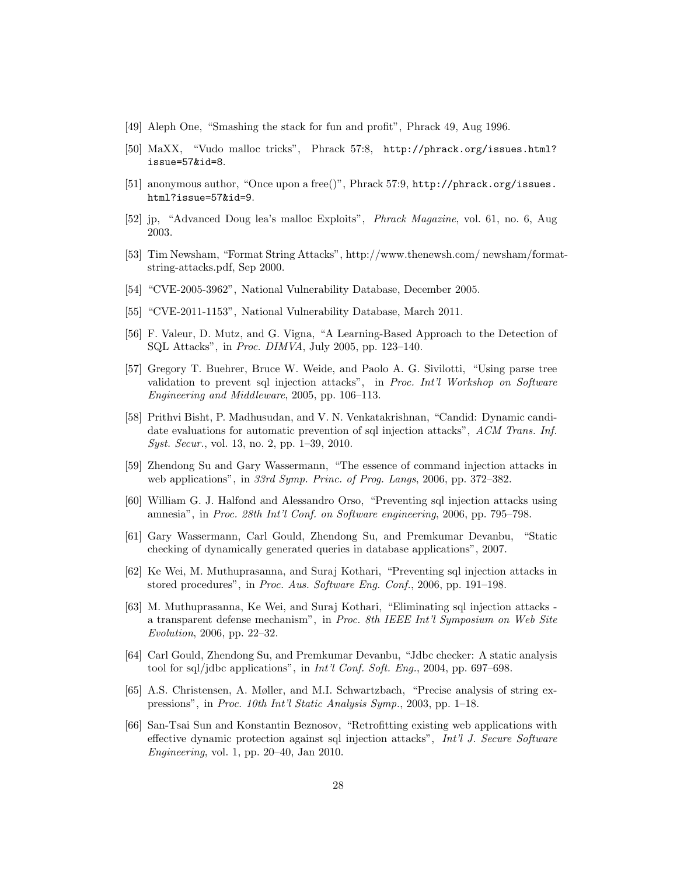- [49] Aleph One, "Smashing the stack for fun and profit", Phrack 49, Aug 1996.
- [50] MaXX, "Vudo malloc tricks", Phrack 57:8, http://phrack.org/issues.html? issue=57&id=8.
- [51] anonymous author, "Once upon a free()", Phrack 57:9, http://phrack.org/issues. html?issue=57&id=9.
- [52] jp, "Advanced Doug lea's malloc Exploits", Phrack Magazine, vol. 61, no. 6, Aug 2003.
- [53] Tim Newsham, "Format String Attacks", http://www.thenewsh.com/ newsham/formatstring-attacks.pdf, Sep 2000.
- [54] "CVE-2005-3962", National Vulnerability Database, December 2005.
- [55] "CVE-2011-1153", National Vulnerability Database, March 2011.
- [56] F. Valeur, D. Mutz, and G. Vigna, "A Learning-Based Approach to the Detection of SQL Attacks", in Proc. DIMVA, July 2005, pp. 123–140.
- [57] Gregory T. Buehrer, Bruce W. Weide, and Paolo A. G. Sivilotti, "Using parse tree validation to prevent sql injection attacks", in Proc. Int'l Workshop on Software Engineering and Middleware, 2005, pp. 106–113.
- [58] Prithvi Bisht, P. Madhusudan, and V. N. Venkatakrishnan, "Candid: Dynamic candidate evaluations for automatic prevention of sql injection attacks", ACM Trans. Inf. Syst. Secur., vol. 13, no. 2, pp. 1–39, 2010.
- [59] Zhendong Su and Gary Wassermann, "The essence of command injection attacks in web applications", in 33rd Symp. Princ. of Prog. Langs, 2006, pp. 372–382.
- [60] William G. J. Halfond and Alessandro Orso, "Preventing sql injection attacks using amnesia", in Proc. 28th Int'l Conf. on Software engineering, 2006, pp. 795–798.
- [61] Gary Wassermann, Carl Gould, Zhendong Su, and Premkumar Devanbu, "Static checking of dynamically generated queries in database applications", 2007.
- [62] Ke Wei, M. Muthuprasanna, and Suraj Kothari, "Preventing sql injection attacks in stored procedures", in Proc. Aus. Software Eng. Conf., 2006, pp. 191–198.
- [63] M. Muthuprasanna, Ke Wei, and Suraj Kothari, "Eliminating sql injection attacks a transparent defense mechanism", in Proc. 8th IEEE Int'l Symposium on Web Site Evolution, 2006, pp. 22–32.
- [64] Carl Gould, Zhendong Su, and Premkumar Devanbu, "Jdbc checker: A static analysis tool for sql/jdbc applications", in Int'l Conf. Soft. Eng., 2004, pp. 697–698.
- [65] A.S. Christensen, A. Møller, and M.I. Schwartzbach, "Precise analysis of string expressions", in Proc. 10th Int'l Static Analysis Symp., 2003, pp. 1–18.
- [66] San-Tsai Sun and Konstantin Beznosov, "Retrofitting existing web applications with effective dynamic protection against sql injection attacks", Int'l J. Secure Software Engineering, vol. 1, pp. 20–40, Jan 2010.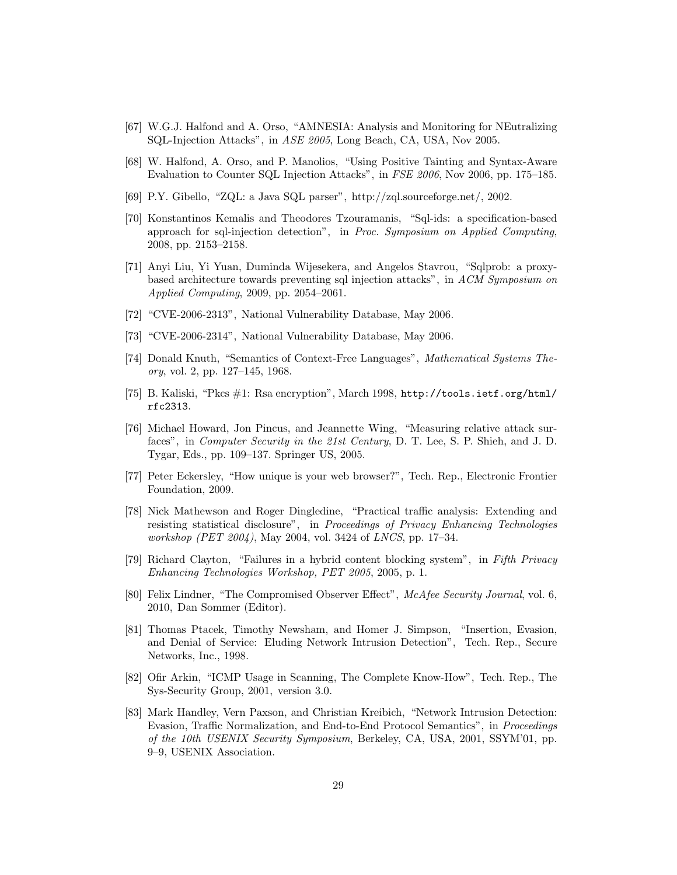- [67] W.G.J. Halfond and A. Orso, "AMNESIA: Analysis and Monitoring for NEutralizing SQL-Injection Attacks", in ASE 2005, Long Beach, CA, USA, Nov 2005.
- [68] W. Halfond, A. Orso, and P. Manolios, "Using Positive Tainting and Syntax-Aware Evaluation to Counter SQL Injection Attacks", in FSE 2006, Nov 2006, pp. 175–185.
- [69] P.Y. Gibello, "ZQL: a Java SQL parser", http://zql.sourceforge.net/, 2002.
- [70] Konstantinos Kemalis and Theodores Tzouramanis, "Sql-ids: a specification-based approach for sql-injection detection", in Proc. Symposium on Applied Computing, 2008, pp. 2153–2158.
- [71] Anyi Liu, Yi Yuan, Duminda Wijesekera, and Angelos Stavrou, "Sqlprob: a proxybased architecture towards preventing sql injection attacks", in ACM Symposium on Applied Computing, 2009, pp. 2054–2061.
- [72] "CVE-2006-2313", National Vulnerability Database, May 2006.
- [73] "CVE-2006-2314", National Vulnerability Database, May 2006.
- [74] Donald Knuth, "Semantics of Context-Free Languages", Mathematical Systems Theory, vol. 2, pp. 127–145, 1968.
- [75] B. Kaliski, "Pkcs #1: Rsa encryption", March 1998, http://tools.ietf.org/html/ rfc2313.
- [76] Michael Howard, Jon Pincus, and Jeannette Wing, "Measuring relative attack surfaces", in Computer Security in the 21st Century, D. T. Lee, S. P. Shieh, and J. D. Tygar, Eds., pp. 109–137. Springer US, 2005.
- [77] Peter Eckersley, "How unique is your web browser?", Tech. Rep., Electronic Frontier Foundation, 2009.
- [78] Nick Mathewson and Roger Dingledine, "Practical traffic analysis: Extending and resisting statistical disclosure", in Proceedings of Privacy Enhancing Technologies workshop (PET 2004), May 2004, vol. 3424 of LNCS, pp. 17–34.
- [79] Richard Clayton, "Failures in a hybrid content blocking system", in Fifth Privacy Enhancing Technologies Workshop, PET 2005, 2005, p. 1.
- [80] Felix Lindner, "The Compromised Observer Effect", McAfee Security Journal, vol. 6, 2010, Dan Sommer (Editor).
- [81] Thomas Ptacek, Timothy Newsham, and Homer J. Simpson, "Insertion, Evasion, and Denial of Service: Eluding Network Intrusion Detection", Tech. Rep., Secure Networks, Inc., 1998.
- [82] Ofir Arkin, "ICMP Usage in Scanning, The Complete Know-How", Tech. Rep., The Sys-Security Group, 2001, version 3.0.
- [83] Mark Handley, Vern Paxson, and Christian Kreibich, "Network Intrusion Detection: Evasion, Traffic Normalization, and End-to-End Protocol Semantics", in Proceedings of the 10th USENIX Security Symposium, Berkeley, CA, USA, 2001, SSYM'01, pp. 9–9, USENIX Association.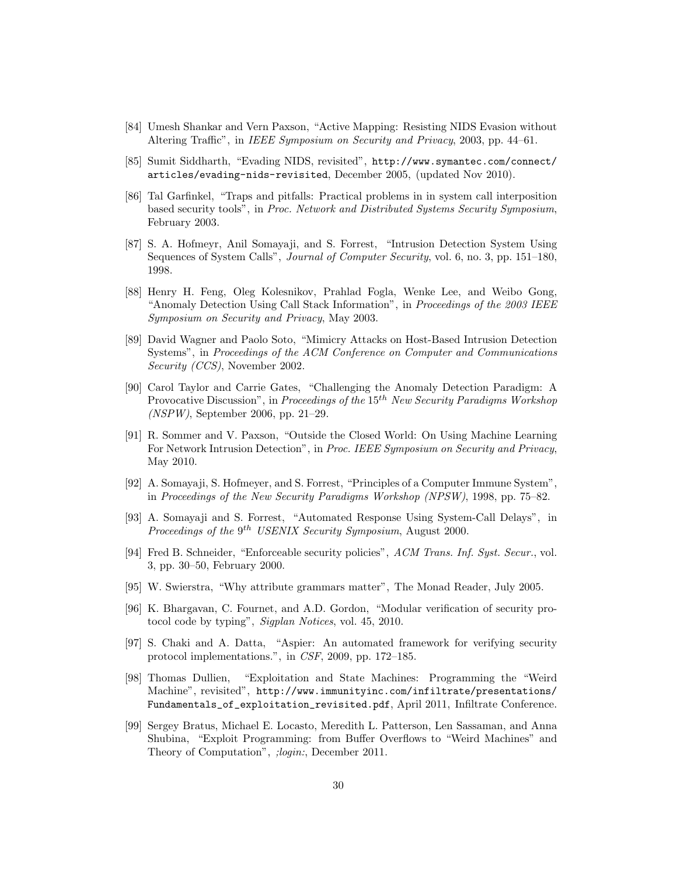- [84] Umesh Shankar and Vern Paxson, "Active Mapping: Resisting NIDS Evasion without Altering Traffic", in IEEE Symposium on Security and Privacy, 2003, pp. 44–61.
- [85] Sumit Siddharth, "Evading NIDS, revisited", http://www.symantec.com/connect/ articles/evading-nids-revisited, December 2005, (updated Nov 2010).
- [86] Tal Garfinkel, "Traps and pitfalls: Practical problems in in system call interposition based security tools", in Proc. Network and Distributed Systems Security Symposium, February 2003.
- [87] S. A. Hofmeyr, Anil Somayaji, and S. Forrest, "Intrusion Detection System Using Sequences of System Calls", Journal of Computer Security, vol. 6, no. 3, pp. 151–180, 1998.
- [88] Henry H. Feng, Oleg Kolesnikov, Prahlad Fogla, Wenke Lee, and Weibo Gong, "Anomaly Detection Using Call Stack Information", in Proceedings of the 2003 IEEE Symposium on Security and Privacy, May 2003.
- [89] David Wagner and Paolo Soto, "Mimicry Attacks on Host-Based Intrusion Detection Systems", in Proceedings of the ACM Conference on Computer and Communications Security (CCS), November 2002.
- [90] Carol Taylor and Carrie Gates, "Challenging the Anomaly Detection Paradigm: A Provocative Discussion", in Proceedings of the  $15^{th}$  New Security Paradigms Workshop (NSPW), September 2006, pp. 21–29.
- [91] R. Sommer and V. Paxson, "Outside the Closed World: On Using Machine Learning For Network Intrusion Detection", in Proc. IEEE Symposium on Security and Privacy, May 2010.
- [92] A. Somayaji, S. Hofmeyer, and S. Forrest, "Principles of a Computer Immune System", in Proceedings of the New Security Paradigms Workshop (NPSW), 1998, pp. 75–82.
- [93] A. Somayaji and S. Forrest, "Automated Response Using System-Call Delays", in Proceedings of the  $9^{th}$  USENIX Security Symposium, August 2000.
- [94] Fred B. Schneider, "Enforceable security policies", ACM Trans. Inf. Syst. Secur., vol. 3, pp. 30–50, February 2000.
- [95] W. Swierstra, "Why attribute grammars matter", The Monad Reader, July 2005.
- [96] K. Bhargavan, C. Fournet, and A.D. Gordon, "Modular verification of security protocol code by typing", Sigplan Notices, vol. 45, 2010.
- [97] S. Chaki and A. Datta, "Aspier: An automated framework for verifying security protocol implementations.", in CSF, 2009, pp. 172–185.
- [98] Thomas Dullien, "Exploitation and State Machines: Programming the "Weird Machine", revisited", http://www.immunityinc.com/infiltrate/presentations/ Fundamentals\_of\_exploitation\_revisited.pdf, April 2011, Infiltrate Conference.
- [99] Sergey Bratus, Michael E. Locasto, Meredith L. Patterson, Len Sassaman, and Anna Shubina, "Exploit Programming: from Buffer Overflows to "Weird Machines" and Theory of Computation", ;login:, December 2011.